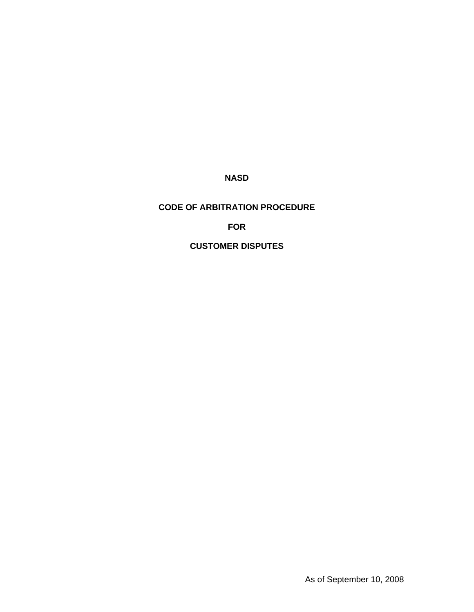**NASD** 

# **CODE OF ARBITRATION PROCEDURE**

# **FOR**

# **CUSTOMER DISPUTES**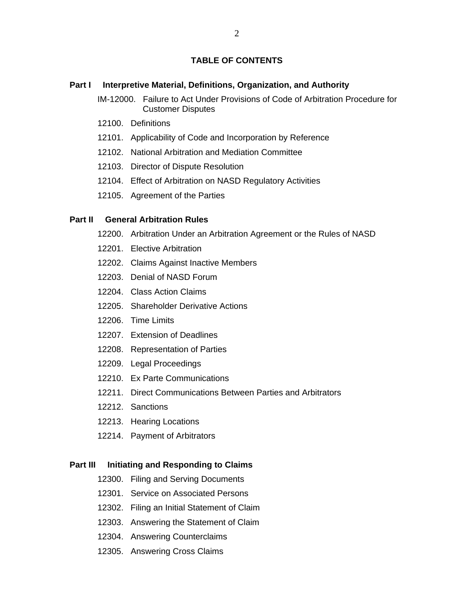# **TABLE OF CONTENTS**

#### **Part I** Interpretive Material, Definitions, Organization, and Authority

IM-12000. Failure to Act Under Provisions of Code of Arbitration Procedure for Customer Disputes

- 12100. Definitions
- 12101. Applicability of Code and Incorporation by Reference
- 12102. National Arbitration and Mediation Committee
- 12103. Director of Dispute Resolution
- 12104. Effect of Arbitration on NASD Regulatory Activities
- 12105. Agreement of the Parties

#### **Part II General Arbitration Rules**

- 12200. Arbitration Under an Arbitration Agreement or the Rules of NASD
- 12201. Elective Arbitration
- 12202. Claims Against Inactive Members
- 12203. Denial of NASD Forum
- 12204. Class Action Claims
- 12205. Shareholder Derivative Actions
- 12206. Time Limits
- 12207. Extension of Deadlines
- 12208. Representation of Parties
- 12209. Legal Proceedings
- 12210. Ex Parte Communications
- 12211. Direct Communications Between Parties and Arbitrators
- 12212. Sanctions
- 12213. Hearing Locations
- 12214. Payment of Arbitrators

### **Part III Initiating and Responding to Claims**

- 12300. Filing and Serving Documents
- 12301. Service on Associated Persons
- 12302. Filing an Initial Statement of Claim
- 12303. Answering the Statement of Claim
- 12304. Answering Counterclaims
- 12305. Answering Cross Claims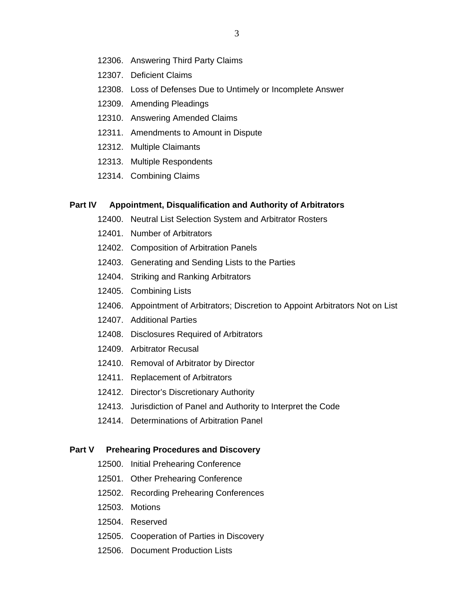- 12306. Answering Third Party Claims
- 12307. Deficient Claims
- 12308. Loss of Defenses Due to Untimely or Incomplete Answer
- 12309. Amending Pleadings
- 12310. Answering Amended Claims
- 12311. Amendments to Amount in Dispute
- 12312. Multiple Claimants
- 12313. Multiple Respondents
- 12314. Combining Claims

#### **Part IV Appointment, Disqualification and Authority of Arbitrators**

- 12400. Neutral List Selection System and Arbitrator Rosters
- 12401. Number of Arbitrators
- 12402. Composition of Arbitration Panels
- 12403. Generating and Sending Lists to the Parties
- 12404. Striking and Ranking Arbitrators
- 12405. Combining Lists
- 12406. Appointment of Arbitrators; Discretion to Appoint Arbitrators Not on List
- 12407. Additional Parties
- 12408. Disclosures Required of Arbitrators
- 12409. Arbitrator Recusal
- 12410. Removal of Arbitrator by Director
- 12411. Replacement of Arbitrators
- 12412. Director's Discretionary Authority
- 12413. Jurisdiction of Panel and Authority to Interpret the Code
- 12414. Determinations of Arbitration Panel

#### **Part V Prehearing Procedures and Discovery**

- 12500. Initial Prehearing Conference
- 12501. Other Prehearing Conference
- 12502. Recording Prehearing Conferences
- 12503. Motions
- 12504. Reserved
- 12505. Cooperation of Parties in Discovery
- 12506. Document Production Lists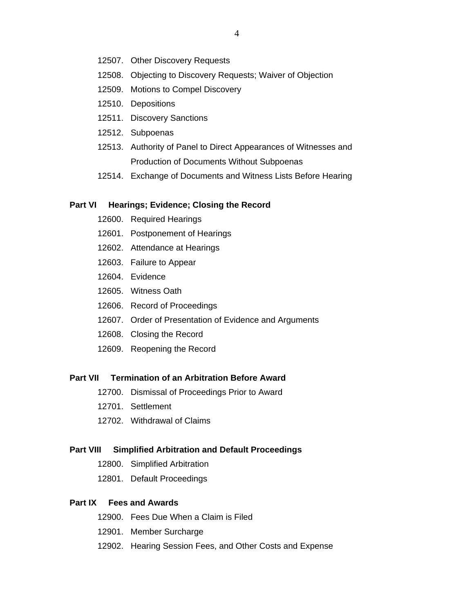- 12507. Other Discovery Requests
- 12508. Objecting to Discovery Requests; Waiver of Objection
- 12509. Motions to Compel Discovery
- 12510. Depositions
- 12511. Discovery Sanctions
- 12512. Subpoenas
- 12513. Authority of Panel to Direct Appearances of Witnesses and Production of Documents Without Subpoenas
- 12514. Exchange of Documents and Witness Lists Before Hearing

#### **Part VI Hearings; Evidence; Closing the Record**

- 12600. Required Hearings
- 12601. Postponement of Hearings
- 12602. Attendance at Hearings
- 12603. Failure to Appear
- 12604. Evidence
- 12605. Witness Oath
- 12606. Record of Proceedings
- 12607. Order of Presentation of Evidence and Arguments
- 12608. Closing the Record
- 12609. Reopening the Record

#### **Part VII Termination of an Arbitration Before Award**

- 12700. Dismissal of Proceedings Prior to Award
- 12701. Settlement
- 12702. Withdrawal of Claims

#### **Part VIII Simplified Arbitration and Default Proceedings**

- 12800. Simplified Arbitration
- 12801. Default Proceedings

### **Part IX Fees and Awards**

- 12900. Fees Due When a Claim is Filed
- 12901. Member Surcharge
- 12902. Hearing Session Fees, and Other Costs and Expense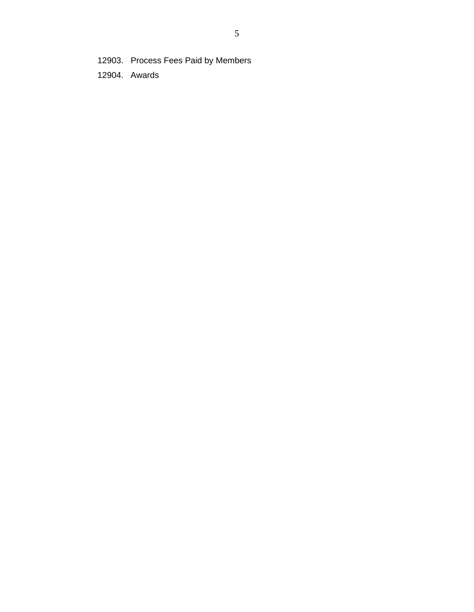12903. Process Fees Paid by Members

12904. Awards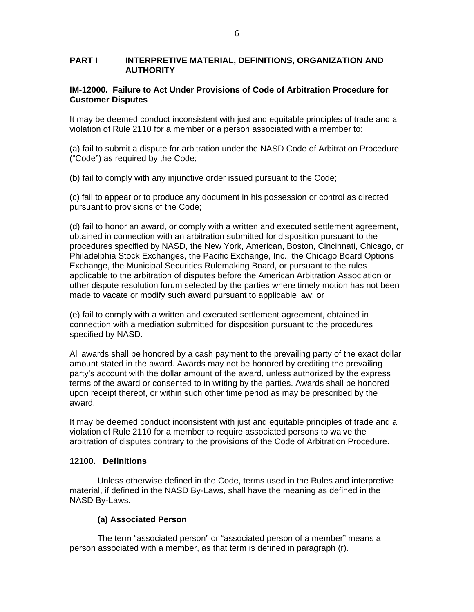### **PART I INTERPRETIVE MATERIAL, DEFINITIONS, ORGANIZATION AND AUTHORITY**

# **IM-12000. Failure to Act Under Provisions of Code of Arbitration Procedure for Customer Disputes**

It may be deemed conduct inconsistent with just and equitable principles of trade and a violation of Rule 2110 for a member or a person associated with a member to:

(a) fail to submit a dispute for arbitration under the NASD Code of Arbitration Procedure ("Code") as required by the Code;

(b) fail to comply with any injunctive order issued pursuant to the Code;

(c) fail to appear or to produce any document in his possession or control as directed pursuant to provisions of the Code;

(d) fail to honor an award, or comply with a written and executed settlement agreement, obtained in connection with an arbitration submitted for disposition pursuant to the procedures specified by NASD, the New York, American, Boston, Cincinnati, Chicago, or Philadelphia Stock Exchanges, the Pacific Exchange, Inc., the Chicago Board Options Exchange, the Municipal Securities Rulemaking Board, or pursuant to the rules applicable to the arbitration of disputes before the American Arbitration Association or other dispute resolution forum selected by the parties where timely motion has not been made to vacate or modify such award pursuant to applicable law; or

(e) fail to comply with a written and executed settlement agreement, obtained in connection with a mediation submitted for disposition pursuant to the procedures specified by NASD.

All awards shall be honored by a cash payment to the prevailing party of the exact dollar amount stated in the award. Awards may not be honored by crediting the prevailing party's account with the dollar amount of the award, unless authorized by the express terms of the award or consented to in writing by the parties. Awards shall be honored upon receipt thereof, or within such other time period as may be prescribed by the award.

It may be deemed conduct inconsistent with just and equitable principles of trade and a violation of Rule 2110 for a member to require associated persons to waive the arbitration of disputes contrary to the provisions of the Code of Arbitration Procedure.

### **12100. Definitions**

Unless otherwise defined in the Code, terms used in the Rules and interpretive material, if defined in the NASD By-Laws, shall have the meaning as defined in the NASD By-Laws.

### **(a) Associated Person**

The term "associated person" or "associated person of a member" means a person associated with a member, as that term is defined in paragraph (r).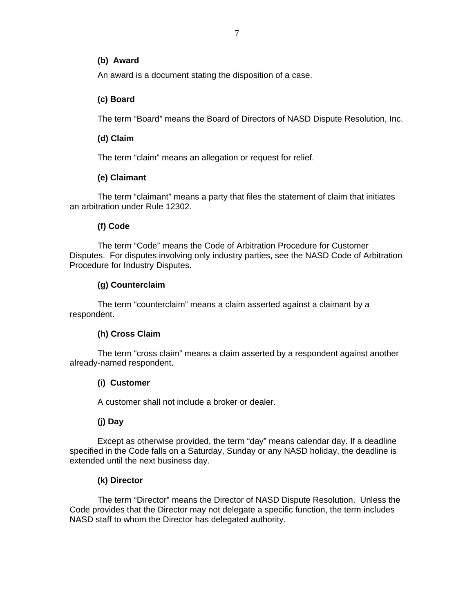### **(b) Award**

An award is a document stating the disposition of a case.

# **(c) Board**

The term "Board" means the Board of Directors of NASD Dispute Resolution, Inc.

# **(d) Claim**

The term "claim" means an allegation or request for relief.

# **(e) Claimant**

The term "claimant" means a party that files the statement of claim that initiates an arbitration under Rule 12302.

# **(f) Code**

The term "Code" means the Code of Arbitration Procedure for Customer Disputes. For disputes involving only industry parties, see the NASD Code of Arbitration Procedure for Industry Disputes.

# **(g) Counterclaim**

The term "counterclaim" means a claim asserted against a claimant by a respondent.

# **(h) Cross Claim**

The term "cross claim" means a claim asserted by a respondent against another already-named respondent.

# **(i) Customer**

A customer shall not include a broker or dealer.

# **(j) Day**

Except as otherwise provided, the term "day" means calendar day. If a deadline specified in the Code falls on a Saturday, Sunday or any NASD holiday, the deadline is extended until the next business day.

# **(k) Director**

The term "Director" means the Director of NASD Dispute Resolution. Unless the Code provides that the Director may not delegate a specific function, the term includes NASD staff to whom the Director has delegated authority.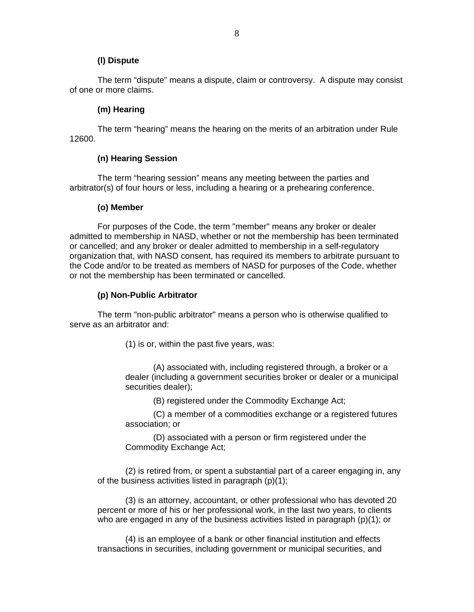### **(l) Dispute**

The term "dispute" means a dispute, claim or controversy. A dispute may consist of one or more claims.

### **(m) Hearing**

The term "hearing" means the hearing on the merits of an arbitration under Rule 12600.

### **(n) Hearing Session**

The term "hearing session" means any meeting between the parties and arbitrator(s) of four hours or less, including a hearing or a prehearing conference.

### **(o) Member**

For purposes of the Code, the term "member" means any broker or dealer admitted to membership in NASD, whether or not the membership has been terminated or cancelled; and any broker or dealer admitted to membership in a self-regulatory organization that, with NASD consent, has required its members to arbitrate pursuant to the Code and/or to be treated as members of NASD for purposes of the Code, whether or not the membership has been terminated or cancelled.

### **(p) Non-Public Arbitrator**

The term "non-public arbitrator" means a person who is otherwise qualified to serve as an arbitrator and:

(1) is or, within the past five years, was:

(A) associated with, including registered through, a broker or a dealer (including a government securities broker or dealer or a municipal securities dealer);

(B) registered under the Commodity Exchange Act;

(C) a member of a commodities exchange or a registered futures association; or

(D) associated with a person or firm registered under the Commodity Exchange Act;

(2) is retired from, or spent a substantial part of a career engaging in, any of the business activities listed in paragraph (p)(1);

(3) is an attorney, accountant, or other professional who has devoted 20 percent or more of his or her professional work, in the last two years, to clients who are engaged in any of the business activities listed in paragraph (p)(1); or

(4) is an employee of a bank or other financial institution and effects transactions in securities, including government or municipal securities, and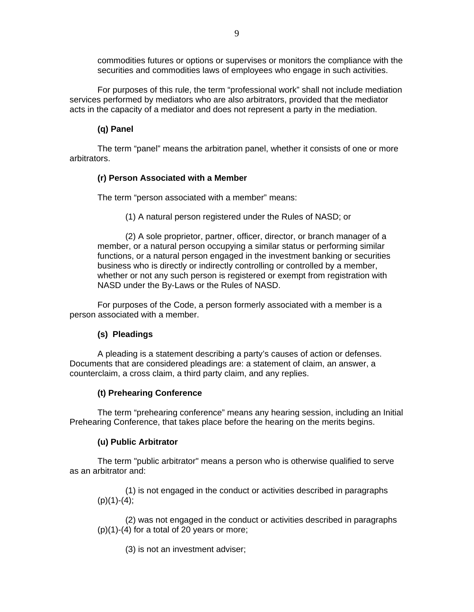commodities futures or options or supervises or monitors the compliance with the securities and commodities laws of employees who engage in such activities.

For purposes of this rule, the term "professional work" shall not include mediation services performed by mediators who are also arbitrators, provided that the mediator acts in the capacity of a mediator and does not represent a party in the mediation.

### **(q) Panel**

The term "panel" means the arbitration panel, whether it consists of one or more arbitrators.

### **(r) Person Associated with a Member**

The term "person associated with a member" means:

(1) A natural person registered under the Rules of NASD; or

(2) A sole proprietor, partner, officer, director, or branch manager of a member, or a natural person occupying a similar status or performing similar functions, or a natural person engaged in the investment banking or securities business who is directly or indirectly controlling or controlled by a member, whether or not any such person is registered or exempt from registration with NASD under the By-Laws or the Rules of NASD.

For purposes of the Code, a person formerly associated with a member is a person associated with a member.

### **(s) Pleadings**

A pleading is a statement describing a party's causes of action or defenses. Documents that are considered pleadings are: a statement of claim, an answer, a counterclaim, a cross claim, a third party claim, and any replies.

### **(t) Prehearing Conference**

The term "prehearing conference" means any hearing session, including an Initial Prehearing Conference, that takes place before the hearing on the merits begins.

### **(u) Public Arbitrator**

The term "public arbitrator" means a person who is otherwise qualified to serve as an arbitrator and:

(1) is not engaged in the conduct or activities described in paragraphs  $(p)(1)-(4);$ 

(2) was not engaged in the conduct or activities described in paragraphs  $(p)(1)-(4)$  for a total of 20 years or more;

(3) is not an investment adviser;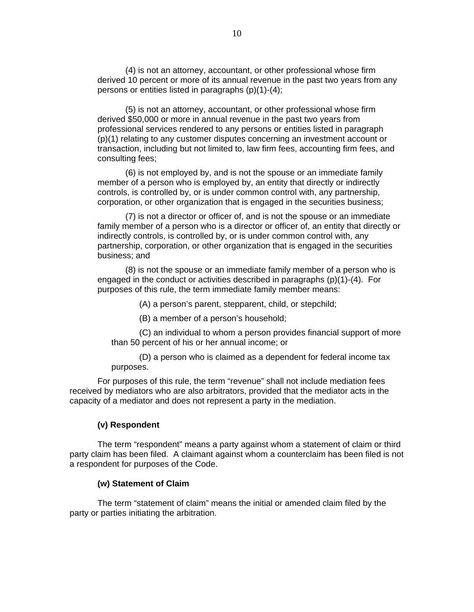(4) is not an attorney, accountant, or other professional whose firm derived 10 percent or more of its annual revenue in the past two years from any persons or entities listed in paragraphs (p)(1)-(4);

(5) is not an attorney, accountant, or other professional whose firm derived \$50,000 or more in annual revenue in the past two years from professional services rendered to any persons or entities listed in paragraph (p)(1) relating to any customer disputes concerning an investment account or transaction, including but not limited to, law firm fees, accounting firm fees, and consulting fees;

(6) is not employed by, and is not the spouse or an immediate family member of a person who is employed by, an entity that directly or indirectly controls, is controlled by, or is under common control with, any partnership, corporation, or other organization that is engaged in the securities business;

(7) is not a director or officer of, and is not the spouse or an immediate family member of a person who is a director or officer of, an entity that directly or indirectly controls, is controlled by, or is under common control with, any partnership, corporation, or other organization that is engaged in the securities business; and

(8) is not the spouse or an immediate family member of a person who is engaged in the conduct or activities described in paragraphs (p)(1)-(4). For purposes of this rule, the term immediate family member means:

(A) a person's parent, stepparent, child, or stepchild;

(B) a member of a person's household;

(C) an individual to whom a person provides financial support of more than 50 percent of his or her annual income; or

(D) a person who is claimed as a dependent for federal income tax purposes.

For purposes of this rule, the term "revenue" shall not include mediation fees received by mediators who are also arbitrators, provided that the mediator acts in the capacity of a mediator and does not represent a party in the mediation.

#### **(v) Respondent**

The term "respondent" means a party against whom a statement of claim or third party claim has been filed. A claimant against whom a counterclaim has been filed is not a respondent for purposes of the Code.

#### **(w) Statement of Claim**

The term "statement of claim" means the initial or amended claim filed by the party or parties initiating the arbitration.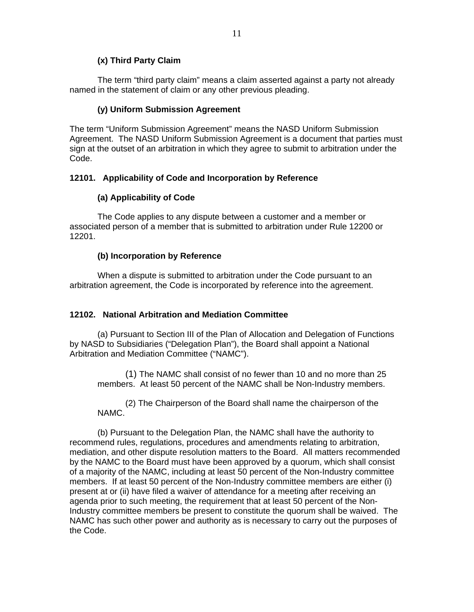# **(x) Third Party Claim**

The term "third party claim" means a claim asserted against a party not already named in the statement of claim or any other previous pleading.

### **(y) Uniform Submission Agreement**

The term "Uniform Submission Agreement" means the NASD Uniform Submission Agreement. The NASD Uniform Submission Agreement is a document that parties must sign at the outset of an arbitration in which they agree to submit to arbitration under the Code.

### **12101. Applicability of Code and Incorporation by Reference**

### **(a) Applicability of Code**

The Code applies to any dispute between a customer and a member or associated person of a member that is submitted to arbitration under Rule 12200 or 12201.

### **(b) Incorporation by Reference**

When a dispute is submitted to arbitration under the Code pursuant to an arbitration agreement, the Code is incorporated by reference into the agreement.

# **12102. National Arbitration and Mediation Committee**

(a) Pursuant to Section III of the Plan of Allocation and Delegation of Functions by NASD to Subsidiaries ("Delegation Plan"), the Board shall appoint a National Arbitration and Mediation Committee ("NAMC").

(1) The NAMC shall consist of no fewer than 10 and no more than 25 members. At least 50 percent of the NAMC shall be Non-Industry members.

(2) The Chairperson of the Board shall name the chairperson of the NAMC.

(b) Pursuant to the Delegation Plan, the NAMC shall have the authority to recommend rules, regulations, procedures and amendments relating to arbitration, mediation, and other dispute resolution matters to the Board. All matters recommended by the NAMC to the Board must have been approved by a quorum, which shall consist of a majority of the NAMC, including at least 50 percent of the Non-Industry committee members. If at least 50 percent of the Non-Industry committee members are either (i) present at or (ii) have filed a waiver of attendance for a meeting after receiving an agenda prior to such meeting, the requirement that at least 50 percent of the Non-Industry committee members be present to constitute the quorum shall be waived. The NAMC has such other power and authority as is necessary to carry out the purposes of the Code.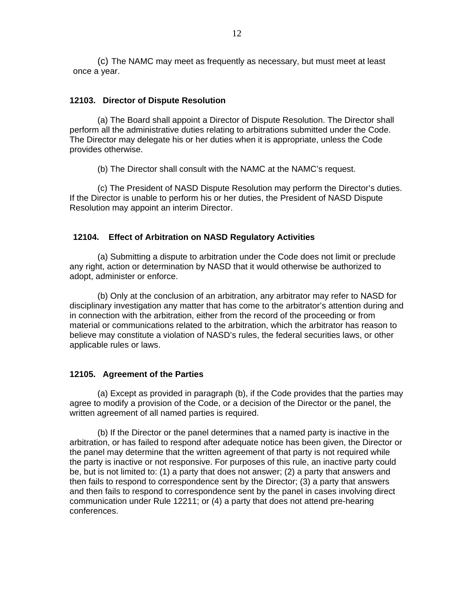(c) The NAMC may meet as frequently as necessary, but must meet at least once a year.

#### **12103. Director of Dispute Resolution**

(a) The Board shall appoint a Director of Dispute Resolution. The Director shall perform all the administrative duties relating to arbitrations submitted under the Code. The Director may delegate his or her duties when it is appropriate, unless the Code provides otherwise.

(b) The Director shall consult with the NAMC at the NAMC's request.

(c) The President of NASD Dispute Resolution may perform the Director's duties. If the Director is unable to perform his or her duties, the President of NASD Dispute Resolution may appoint an interim Director.

#### **12104. Effect of Arbitration on NASD Regulatory Activities**

(a) Submitting a dispute to arbitration under the Code does not limit or preclude any right, action or determination by NASD that it would otherwise be authorized to adopt, administer or enforce.

(b) Only at the conclusion of an arbitration, any arbitrator may refer to NASD for disciplinary investigation any matter that has come to the arbitrator's attention during and in connection with the arbitration, either from the record of the proceeding or from material or communications related to the arbitration, which the arbitrator has reason to believe may constitute a violation of NASD's rules, the federal securities laws, or other applicable rules or laws.

#### **12105. Agreement of the Parties**

(a) Except as provided in paragraph (b), if the Code provides that the parties may agree to modify a provision of the Code, or a decision of the Director or the panel, the written agreement of all named parties is required.

(b) If the Director or the panel determines that a named party is inactive in the arbitration, or has failed to respond after adequate notice has been given, the Director or the panel may determine that the written agreement of that party is not required while the party is inactive or not responsive. For purposes of this rule, an inactive party could be, but is not limited to: (1) a party that does not answer; (2) a party that answers and then fails to respond to correspondence sent by the Director; (3) a party that answers and then fails to respond to correspondence sent by the panel in cases involving direct communication under Rule 12211; or (4) a party that does not attend pre-hearing conferences.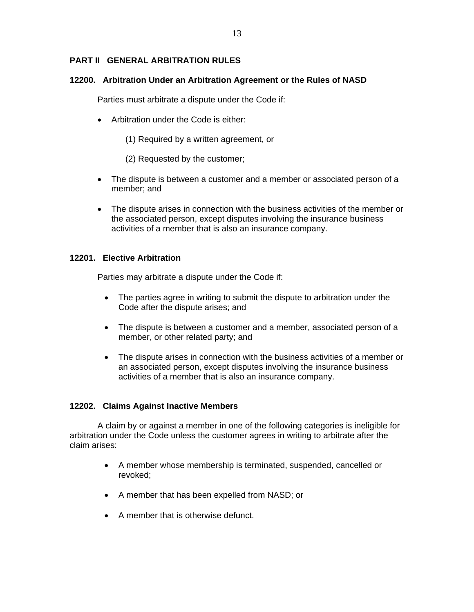# **PART II GENERAL ARBITRATION RULES**

#### **12200. Arbitration Under an Arbitration Agreement or the Rules of NASD**

Parties must arbitrate a dispute under the Code if:

- Arbitration under the Code is either:
	- (1) Required by a written agreement, or
	- (2) Requested by the customer;
- The dispute is between a customer and a member or associated person of a member; and
- The dispute arises in connection with the business activities of the member or the associated person, except disputes involving the insurance business activities of a member that is also an insurance company.

#### **12201. Elective Arbitration**

Parties may arbitrate a dispute under the Code if:

- The parties agree in writing to submit the dispute to arbitration under the Code after the dispute arises; and
- The dispute is between a customer and a member, associated person of a member, or other related party; and
- The dispute arises in connection with the business activities of a member or an associated person, except disputes involving the insurance business activities of a member that is also an insurance company.

### **12202. Claims Against Inactive Members**

 A claim by or against a member in one of the following categories is ineligible for arbitration under the Code unless the customer agrees in writing to arbitrate after the claim arises:

- A member whose membership is terminated, suspended, cancelled or revoked;
- A member that has been expelled from NASD; or
- A member that is otherwise defunct.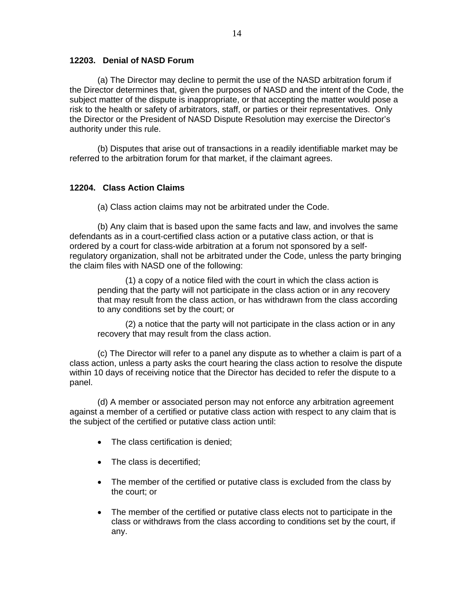### **12203. Denial of NASD Forum**

 (a) The Director may decline to permit the use of the NASD arbitration forum if the Director determines that, given the purposes of NASD and the intent of the Code, the subject matter of the dispute is inappropriate, or that accepting the matter would pose a risk to the health or safety of arbitrators, staff, or parties or their representatives. Only the Director or the President of NASD Dispute Resolution may exercise the Director's authority under this rule.

(b) Disputes that arise out of transactions in a readily identifiable market may be referred to the arbitration forum for that market, if the claimant agrees.

### **12204. Class Action Claims**

(a) Class action claims may not be arbitrated under the Code.

(b) Any claim that is based upon the same facts and law, and involves the same defendants as in a court-certified class action or a putative class action, or that is ordered by a court for class-wide arbitration at a forum not sponsored by a selfregulatory organization, shall not be arbitrated under the Code, unless the party bringing the claim files with NASD one of the following:

(1) a copy of a notice filed with the court in which the class action is pending that the party will not participate in the class action or in any recovery that may result from the class action, or has withdrawn from the class according to any conditions set by the court; or

(2) a notice that the party will not participate in the class action or in any recovery that may result from the class action.

 (c) The Director will refer to a panel any dispute as to whether a claim is part of a class action, unless a party asks the court hearing the class action to resolve the dispute within 10 days of receiving notice that the Director has decided to refer the dispute to a panel.

(d) A member or associated person may not enforce any arbitration agreement against a member of a certified or putative class action with respect to any claim that is the subject of the certified or putative class action until:

- The class certification is denied;
- The class is decertified;
- The member of the certified or putative class is excluded from the class by the court; or
- The member of the certified or putative class elects not to participate in the class or withdraws from the class according to conditions set by the court, if any.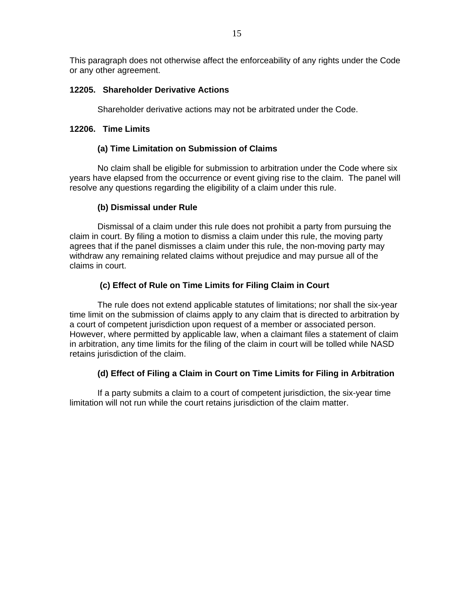This paragraph does not otherwise affect the enforceability of any rights under the Code or any other agreement.

### **12205. Shareholder Derivative Actions**

Shareholder derivative actions may not be arbitrated under the Code.

### **12206. Time Limits**

### **(a) Time Limitation on Submission of Claims**

No claim shall be eligible for submission to arbitration under the Code where six years have elapsed from the occurrence or event giving rise to the claim. The panel will resolve any questions regarding the eligibility of a claim under this rule.

# **(b) Dismissal under Rule**

Dismissal of a claim under this rule does not prohibit a party from pursuing the claim in court. By filing a motion to dismiss a claim under this rule, the moving party agrees that if the panel dismisses a claim under this rule, the non-moving party may withdraw any remaining related claims without prejudice and may pursue all of the claims in court.

# **(c) Effect of Rule on Time Limits for Filing Claim in Court**

The rule does not extend applicable statutes of limitations; nor shall the six-year time limit on the submission of claims apply to any claim that is directed to arbitration by a court of competent jurisdiction upon request of a member or associated person. However, where permitted by applicable law, when a claimant files a statement of claim in arbitration, any time limits for the filing of the claim in court will be tolled while NASD retains jurisdiction of the claim.

# **(d) Effect of Filing a Claim in Court on Time Limits for Filing in Arbitration**

If a party submits a claim to a court of competent jurisdiction, the six-year time limitation will not run while the court retains jurisdiction of the claim matter.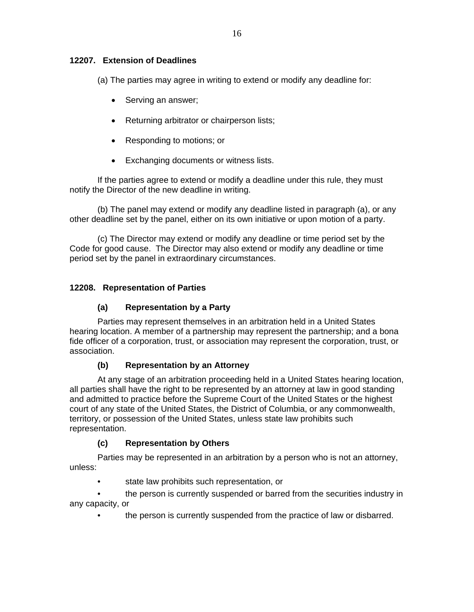(a) The parties may agree in writing to extend or modify any deadline for:

- Serving an answer;
- Returning arbitrator or chairperson lists;
- Responding to motions; or
- Exchanging documents or witness lists.

If the parties agree to extend or modify a deadline under this rule, they must notify the Director of the new deadline in writing.

(b) The panel may extend or modify any deadline listed in paragraph (a), or any other deadline set by the panel, either on its own initiative or upon motion of a party.

(c) The Director may extend or modify any deadline or time period set by the Code for good cause. The Director may also extend or modify any deadline or time period set by the panel in extraordinary circumstances.

# **12208. Representation of Parties**

# **(a) Representation by a Party**

Parties may represent themselves in an arbitration held in a United States hearing location. A member of a partnership may represent the partnership; and a bona fide officer of a corporation, trust, or association may represent the corporation, trust, or association.

# **(b) Representation by an Attorney**

At any stage of an arbitration proceeding held in a United States hearing location, all parties shall have the right to be represented by an attorney at law in good standing and admitted to practice before the Supreme Court of the United States or the highest court of any state of the United States, the District of Columbia, or any commonwealth, territory, or possession of the United States, unless state law prohibits such representation.

# **(c) Representation by Others**

Parties may be represented in an arbitration by a person who is not an attorney, unless:

• state law prohibits such representation, or

• the person is currently suspended or barred from the securities industry in any capacity, or

• the person is currently suspended from the practice of law or disbarred.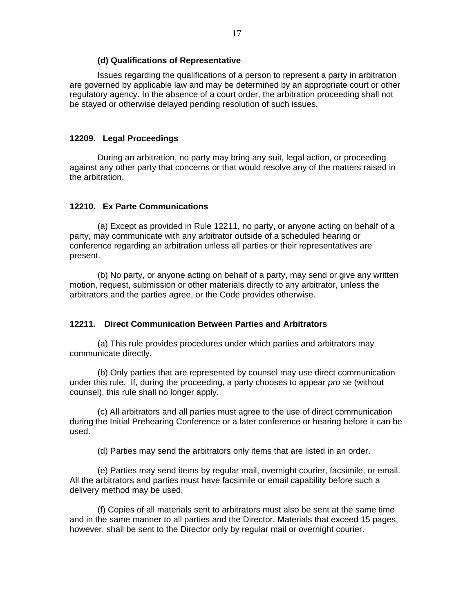#### **(d) Qualifications of Representative**

Issues regarding the qualifications of a person to represent a party in arbitration are governed by applicable law and may be determined by an appropriate court or other regulatory agency. In the absence of a court order, the arbitration proceeding shall not be stayed or otherwise delayed pending resolution of such issues.

#### **12209. Legal Proceedings**

During an arbitration, no party may bring any suit, legal action, or proceeding against any other party that concerns or that would resolve any of the matters raised in the arbitration.

#### **12210. Ex Parte Communications**

(a) Except as provided in Rule 12211, no party, or anyone acting on behalf of a party, may communicate with any arbitrator outside of a scheduled hearing or conference regarding an arbitration unless all parties or their representatives are present.

(b) No party, or anyone acting on behalf of a party, may send or give any written motion, request, submission or other materials directly to any arbitrator, unless the arbitrators and the parties agree, or the Code provides otherwise.

#### **12211. Direct Communication Between Parties and Arbitrators**

(a) This rule provides procedures under which parties and arbitrators may communicate directly.

(b) Only parties that are represented by counsel may use direct communication under this rule. If, during the proceeding, a party chooses to appear *pro se* (without counsel), this rule shall no longer apply.

(c) All arbitrators and all parties must agree to the use of direct communication during the Initial Prehearing Conference or a later conference or hearing before it can be used.

(d) Parties may send the arbitrators only items that are listed in an order.

(e) Parties may send items by regular mail, overnight courier, facsimile, or email. All the arbitrators and parties must have facsimile or email capability before such a delivery method may be used.

(f) Copies of all materials sent to arbitrators must also be sent at the same time and in the same manner to all parties and the Director. Materials that exceed 15 pages, however, shall be sent to the Director only by regular mail or overnight courier.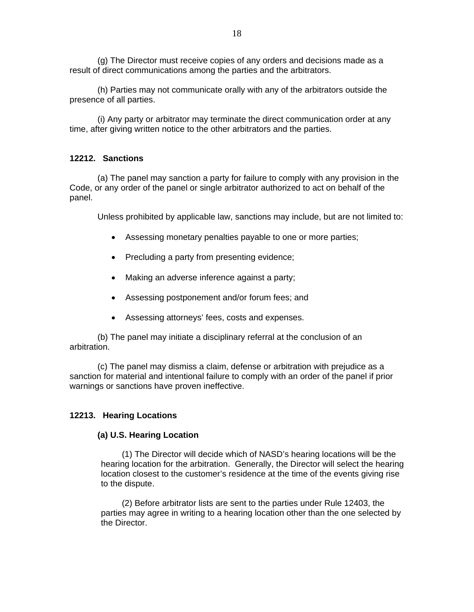(g) The Director must receive copies of any orders and decisions made as a result of direct communications among the parties and the arbitrators.

(h) Parties may not communicate orally with any of the arbitrators outside the presence of all parties.

(i) Any party or arbitrator may terminate the direct communication order at any time, after giving written notice to the other arbitrators and the parties.

### **12212. Sanctions**

(a) The panel may sanction a party for failure to comply with any provision in the Code, or any order of the panel or single arbitrator authorized to act on behalf of the panel.

Unless prohibited by applicable law, sanctions may include, but are not limited to:

- Assessing monetary penalties payable to one or more parties;
- Precluding a party from presenting evidence;
- Making an adverse inference against a party;
- Assessing postponement and/or forum fees; and
- Assessing attorneys' fees, costs and expenses.

(b) The panel may initiate a disciplinary referral at the conclusion of an arbitration.

(c) The panel may dismiss a claim, defense or arbitration with prejudice as a sanction for material and intentional failure to comply with an order of the panel if prior warnings or sanctions have proven ineffective.

#### **12213. Hearing Locations**

#### **(a) U.S. Hearing Location**

(1) The Director will decide which of NASD's hearing locations will be the hearing location for the arbitration. Generally, the Director will select the hearing location closest to the customer's residence at the time of the events giving rise to the dispute.

(2) Before arbitrator lists are sent to the parties under Rule 12403, the parties may agree in writing to a hearing location other than the one selected by the Director.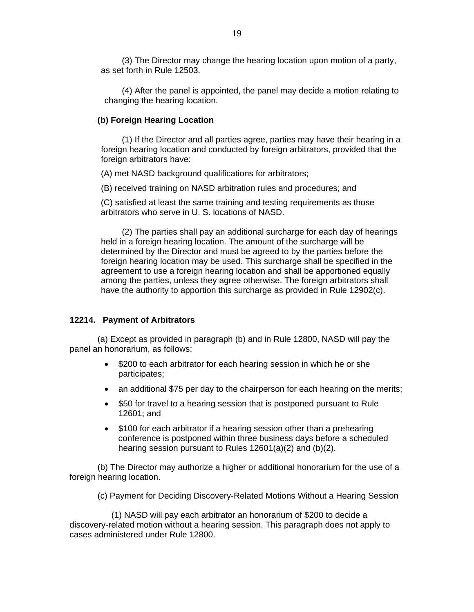(3) The Director may change the hearing location upon motion of a party, as set forth in Rule 12503.

(4) After the panel is appointed, the panel may decide a motion relating to changing the hearing location.

#### **(b) Foreign Hearing Location**

(1) If the Director and all parties agree, parties may have their hearing in a foreign hearing location and conducted by foreign arbitrators, provided that the foreign arbitrators have:

(A) met NASD background qualifications for arbitrators;

(B) received training on NASD arbitration rules and procedures; and

(C) satisfied at least the same training and testing requirements as those arbitrators who serve in U. S. locations of NASD.

(2) The parties shall pay an additional surcharge for each day of hearings held in a foreign hearing location. The amount of the surcharge will be determined by the Director and must be agreed to by the parties before the foreign hearing location may be used. This surcharge shall be specified in the agreement to use a foreign hearing location and shall be apportioned equally among the parties, unless they agree otherwise. The foreign arbitrators shall have the authority to apportion this surcharge as provided in Rule 12902(c).

#### **12214. Payment of Arbitrators**

(a) Except as provided in paragraph (b) and in Rule 12800, NASD will pay the panel an honorarium, as follows:

- \$200 to each arbitrator for each hearing session in which he or she participates;
- an additional \$75 per day to the chairperson for each hearing on the merits;
- \$50 for travel to a hearing session that is postponed pursuant to Rule 12601; and
- \$100 for each arbitrator if a hearing session other than a prehearing conference is postponed within three business days before a scheduled hearing session pursuant to Rules 12601(a)(2) and (b)(2).

(b) The Director may authorize a higher or additional honorarium for the use of a foreign hearing location.

(c) Payment for Deciding Discovery-Related Motions Without a Hearing Session

(1) NASD will pay each arbitrator an honorarium of \$200 to decide a discovery-related motion without a hearing session. This paragraph does not apply to cases administered under Rule 12800.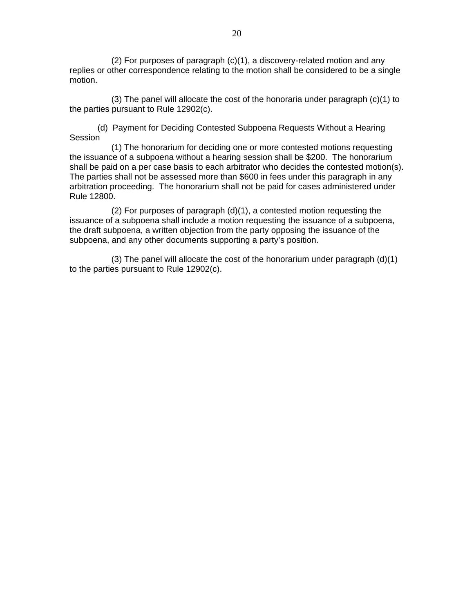(2) For purposes of paragraph (c)(1), a discovery-related motion and any replies or other correspondence relating to the motion shall be considered to be a single motion.

(3) The panel will allocate the cost of the honoraria under paragraph (c)(1) to the parties pursuant to Rule 12902(c).

(d) Payment for Deciding Contested Subpoena Requests Without a Hearing **Session** 

(1) The honorarium for deciding one or more contested motions requesting the issuance of a subpoena without a hearing session shall be \$200. The honorarium shall be paid on a per case basis to each arbitrator who decides the contested motion(s). The parties shall not be assessed more than \$600 in fees under this paragraph in any arbitration proceeding. The honorarium shall not be paid for cases administered under Rule 12800.

(2) For purposes of paragraph (d)(1), a contested motion requesting the issuance of a subpoena shall include a motion requesting the issuance of a subpoena, the draft subpoena, a written objection from the party opposing the issuance of the subpoena, and any other documents supporting a party's position.

(3) The panel will allocate the cost of the honorarium under paragraph (d)(1) to the parties pursuant to Rule 12902(c).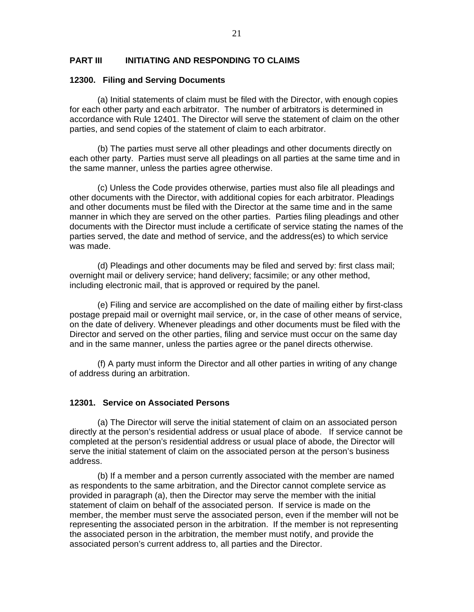### **PART III INITIATING AND RESPONDING TO CLAIMS**

#### **12300. Filing and Serving Documents**

(a) Initial statements of claim must be filed with the Director, with enough copies for each other party and each arbitrator. The number of arbitrators is determined in accordance with Rule 12401. The Director will serve the statement of claim on the other parties, and send copies of the statement of claim to each arbitrator.

(b) The parties must serve all other pleadings and other documents directly on each other party. Parties must serve all pleadings on all parties at the same time and in the same manner, unless the parties agree otherwise.

(c) Unless the Code provides otherwise, parties must also file all pleadings and other documents with the Director, with additional copies for each arbitrator. Pleadings and other documents must be filed with the Director at the same time and in the same manner in which they are served on the other parties. Parties filing pleadings and other documents with the Director must include a certificate of service stating the names of the parties served, the date and method of service, and the address(es) to which service was made.

(d) Pleadings and other documents may be filed and served by: first class mail; overnight mail or delivery service; hand delivery; facsimile; or any other method, including electronic mail, that is approved or required by the panel.

 (e) Filing and service are accomplished on the date of mailing either by first-class postage prepaid mail or overnight mail service, or, in the case of other means of service, on the date of delivery. Whenever pleadings and other documents must be filed with the Director and served on the other parties, filing and service must occur on the same day and in the same manner, unless the parties agree or the panel directs otherwise.

(f) A party must inform the Director and all other parties in writing of any change of address during an arbitration.

#### **12301. Service on Associated Persons**

(a) The Director will serve the initial statement of claim on an associated person directly at the person's residential address or usual place of abode. If service cannot be completed at the person's residential address or usual place of abode, the Director will serve the initial statement of claim on the associated person at the person's business address.

(b) If a member and a person currently associated with the member are named as respondents to the same arbitration, and the Director cannot complete service as provided in paragraph (a), then the Director may serve the member with the initial statement of claim on behalf of the associated person. If service is made on the member, the member must serve the associated person, even if the member will not be representing the associated person in the arbitration. If the member is not representing the associated person in the arbitration, the member must notify, and provide the associated person's current address to, all parties and the Director.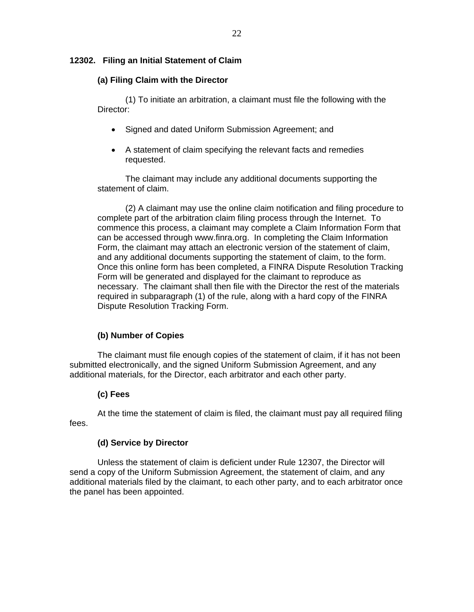### **12302. Filing an Initial Statement of Claim**

### **(a) Filing Claim with the Director**

(1) To initiate an arbitration, a claimant must file the following with the Director:

- Signed and dated Uniform Submission Agreement; and
- A statement of claim specifying the relevant facts and remedies requested.

The claimant may include any additional documents supporting the statement of claim.

(2) A claimant may use the online claim notification and filing procedure to complete part of the arbitration claim filing process through the Internet. To commence this process, a claimant may complete a Claim Information Form that can be accessed through www.finra.org. In completing the Claim Information Form, the claimant may attach an electronic version of the statement of claim, and any additional documents supporting the statement of claim, to the form. Once this online form has been completed, a FINRA Dispute Resolution Tracking Form will be generated and displayed for the claimant to reproduce as necessary. The claimant shall then file with the Director the rest of the materials required in subparagraph (1) of the rule, along with a hard copy of the FINRA Dispute Resolution Tracking Form.

# **(b) Number of Copies**

The claimant must file enough copies of the statement of claim, if it has not been submitted electronically, and the signed Uniform Submission Agreement, and any additional materials, for the Director, each arbitrator and each other party.

# **(c) Fees**

At the time the statement of claim is filed, the claimant must pay all required filing fees.

### **(d) Service by Director**

Unless the statement of claim is deficient under Rule 12307, the Director will send a copy of the Uniform Submission Agreement, the statement of claim, and any additional materials filed by the claimant, to each other party, and to each arbitrator once the panel has been appointed.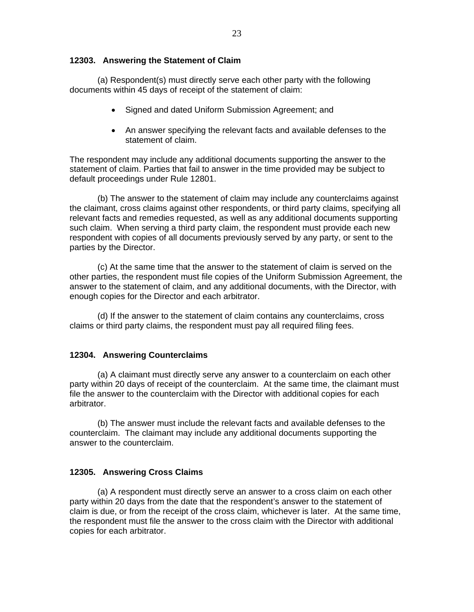### **12303. Answering the Statement of Claim**

(a) Respondent(s) must directly serve each other party with the following documents within 45 days of receipt of the statement of claim:

- Signed and dated Uniform Submission Agreement; and
- An answer specifying the relevant facts and available defenses to the statement of claim.

The respondent may include any additional documents supporting the answer to the statement of claim. Parties that fail to answer in the time provided may be subject to default proceedings under Rule 12801.

(b) The answer to the statement of claim may include any counterclaims against the claimant, cross claims against other respondents, or third party claims, specifying all relevant facts and remedies requested, as well as any additional documents supporting such claim. When serving a third party claim, the respondent must provide each new respondent with copies of all documents previously served by any party, or sent to the parties by the Director.

(c) At the same time that the answer to the statement of claim is served on the other parties, the respondent must file copies of the Uniform Submission Agreement, the answer to the statement of claim, and any additional documents, with the Director, with enough copies for the Director and each arbitrator.

(d) If the answer to the statement of claim contains any counterclaims, cross claims or third party claims, the respondent must pay all required filing fees.

### **12304. Answering Counterclaims**

(a) A claimant must directly serve any answer to a counterclaim on each other party within 20 days of receipt of the counterclaim. At the same time, the claimant must file the answer to the counterclaim with the Director with additional copies for each arbitrator.

(b) The answer must include the relevant facts and available defenses to the counterclaim. The claimant may include any additional documents supporting the answer to the counterclaim.

### **12305. Answering Cross Claims**

(a) A respondent must directly serve an answer to a cross claim on each other party within 20 days from the date that the respondent's answer to the statement of claim is due, or from the receipt of the cross claim, whichever is later. At the same time, the respondent must file the answer to the cross claim with the Director with additional copies for each arbitrator.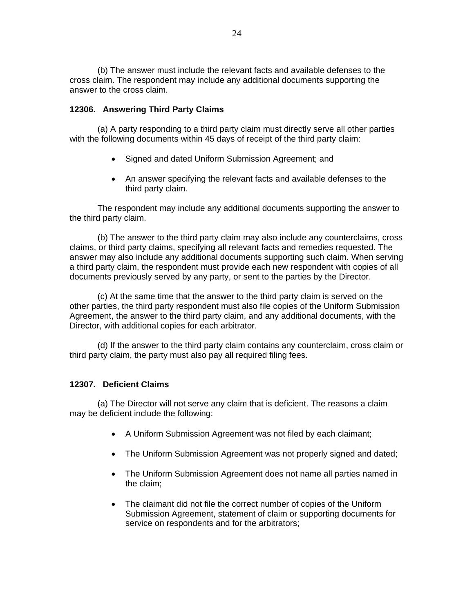(b) The answer must include the relevant facts and available defenses to the cross claim. The respondent may include any additional documents supporting the answer to the cross claim.

### **12306. Answering Third Party Claims**

(a) A party responding to a third party claim must directly serve all other parties with the following documents within 45 days of receipt of the third party claim:

- Signed and dated Uniform Submission Agreement; and
- An answer specifying the relevant facts and available defenses to the third party claim.

The respondent may include any additional documents supporting the answer to the third party claim.

(b) The answer to the third party claim may also include any counterclaims, cross claims, or third party claims, specifying all relevant facts and remedies requested. The answer may also include any additional documents supporting such claim. When serving a third party claim, the respondent must provide each new respondent with copies of all documents previously served by any party, or sent to the parties by the Director.

(c) At the same time that the answer to the third party claim is served on the other parties, the third party respondent must also file copies of the Uniform Submission Agreement, the answer to the third party claim, and any additional documents, with the Director, with additional copies for each arbitrator.

 (d) If the answer to the third party claim contains any counterclaim, cross claim or third party claim, the party must also pay all required filing fees.

### **12307. Deficient Claims**

(a) The Director will not serve any claim that is deficient. The reasons a claim may be deficient include the following:

- A Uniform Submission Agreement was not filed by each claimant;
- The Uniform Submission Agreement was not properly signed and dated;
- The Uniform Submission Agreement does not name all parties named in the claim;
- The claimant did not file the correct number of copies of the Uniform Submission Agreement, statement of claim or supporting documents for service on respondents and for the arbitrators;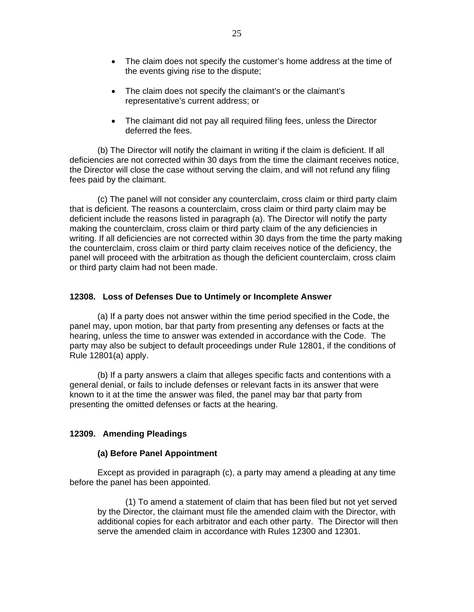- The claim does not specify the customer's home address at the time of the events giving rise to the dispute;
- The claim does not specify the claimant's or the claimant's representative's current address; or
- The claimant did not pay all required filing fees, unless the Director deferred the fees.

(b) The Director will notify the claimant in writing if the claim is deficient. If all deficiencies are not corrected within 30 days from the time the claimant receives notice, the Director will close the case without serving the claim, and will not refund any filing fees paid by the claimant.

 (c) The panel will not consider any counterclaim, cross claim or third party claim that is deficient. The reasons a counterclaim, cross claim or third party claim may be deficient include the reasons listed in paragraph (a). The Director will notify the party making the counterclaim, cross claim or third party claim of the any deficiencies in writing. If all deficiencies are not corrected within 30 days from the time the party making the counterclaim, cross claim or third party claim receives notice of the deficiency, the panel will proceed with the arbitration as though the deficient counterclaim, cross claim or third party claim had not been made.

#### **12308. Loss of Defenses Due to Untimely or Incomplete Answer**

(a) If a party does not answer within the time period specified in the Code, the panel may, upon motion, bar that party from presenting any defenses or facts at the hearing, unless the time to answer was extended in accordance with the Code. The party may also be subject to default proceedings under Rule 12801, if the conditions of Rule 12801(a) apply.

(b) If a party answers a claim that alleges specific facts and contentions with a general denial, or fails to include defenses or relevant facts in its answer that were known to it at the time the answer was filed, the panel may bar that party from presenting the omitted defenses or facts at the hearing.

### **12309. Amending Pleadings**

#### **(a) Before Panel Appointment**

Except as provided in paragraph (c), a party may amend a pleading at any time before the panel has been appointed.

(1) To amend a statement of claim that has been filed but not yet served by the Director, the claimant must file the amended claim with the Director, with additional copies for each arbitrator and each other party. The Director will then serve the amended claim in accordance with Rules 12300 and 12301.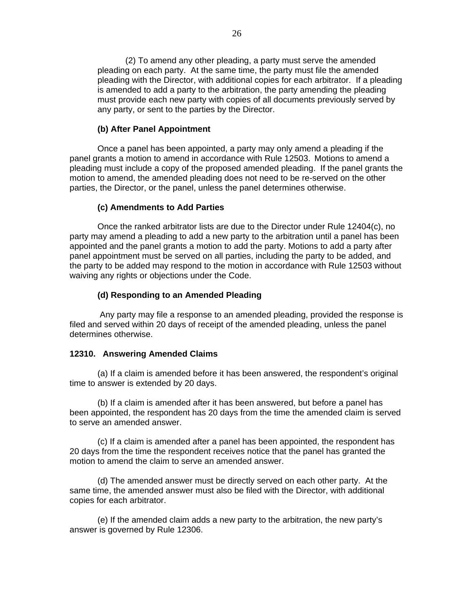(2) To amend any other pleading, a party must serve the amended pleading on each party. At the same time, the party must file the amended pleading with the Director, with additional copies for each arbitrator. If a pleading is amended to add a party to the arbitration, the party amending the pleading must provide each new party with copies of all documents previously served by any party, or sent to the parties by the Director.

#### **(b) After Panel Appointment**

Once a panel has been appointed, a party may only amend a pleading if the panel grants a motion to amend in accordance with Rule 12503. Motions to amend a pleading must include a copy of the proposed amended pleading. If the panel grants the motion to amend, the amended pleading does not need to be re-served on the other parties, the Director, or the panel, unless the panel determines otherwise.

#### **(c) Amendments to Add Parties**

Once the ranked arbitrator lists are due to the Director under Rule 12404(c), no party may amend a pleading to add a new party to the arbitration until a panel has been appointed and the panel grants a motion to add the party. Motions to add a party after panel appointment must be served on all parties, including the party to be added, and the party to be added may respond to the motion in accordance with Rule 12503 without waiving any rights or objections under the Code.

#### **(d) Responding to an Amended Pleading**

 Any party may file a response to an amended pleading, provided the response is filed and served within 20 days of receipt of the amended pleading, unless the panel determines otherwise.

#### **12310. Answering Amended Claims**

(a) If a claim is amended before it has been answered, the respondent's original time to answer is extended by 20 days.

(b) If a claim is amended after it has been answered, but before a panel has been appointed, the respondent has 20 days from the time the amended claim is served to serve an amended answer.

(c) If a claim is amended after a panel has been appointed, the respondent has 20 days from the time the respondent receives notice that the panel has granted the motion to amend the claim to serve an amended answer.

(d) The amended answer must be directly served on each other party. At the same time, the amended answer must also be filed with the Director, with additional copies for each arbitrator.

(e) If the amended claim adds a new party to the arbitration, the new party's answer is governed by Rule 12306.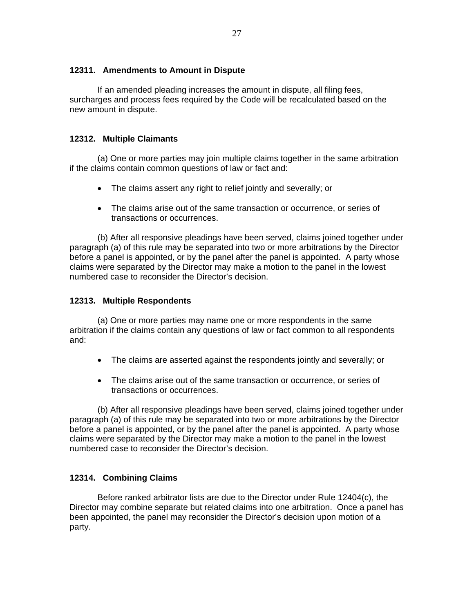### **12311. Amendments to Amount in Dispute**

If an amended pleading increases the amount in dispute, all filing fees, surcharges and process fees required by the Code will be recalculated based on the new amount in dispute.

### **12312. Multiple Claimants**

(a) One or more parties may join multiple claims together in the same arbitration if the claims contain common questions of law or fact and:

- The claims assert any right to relief jointly and severally; or
- The claims arise out of the same transaction or occurrence, or series of transactions or occurrences.

(b) After all responsive pleadings have been served, claims joined together under paragraph (a) of this rule may be separated into two or more arbitrations by the Director before a panel is appointed, or by the panel after the panel is appointed.A party whose claims were separated by the Director may make a motion to the panel in the lowest numbered case to reconsider the Director's decision.

### **12313. Multiple Respondents**

(a) One or more parties may name one or more respondents in the same arbitration if the claims contain any questions of law or fact common to all respondents and:

- The claims are asserted against the respondents jointly and severally; or
- The claims arise out of the same transaction or occurrence, or series of transactions or occurrences.

(b) After all responsive pleadings have been served, claims joined together under paragraph (a) of this rule may be separated into two or more arbitrations by the Director before a panel is appointed, or by the panel after the panel is appointed. A party whose claims were separated by the Director may make a motion to the panel in the lowest numbered case to reconsider the Director's decision.

# **12314. Combining Claims**

Before ranked arbitrator lists are due to the Director under Rule 12404(c), the Director may combine separate but related claims into one arbitration. Once a panel has been appointed, the panel may reconsider the Director's decision upon motion of a party.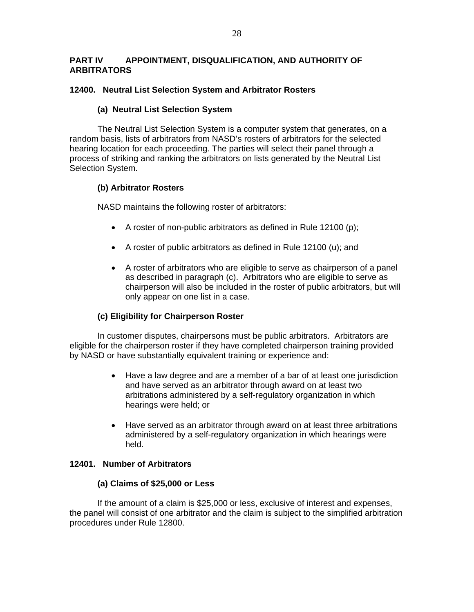# **PART IV APPOINTMENT, DISQUALIFICATION, AND AUTHORITY OF ARBITRATORS**

### **12400. Neutral List Selection System and Arbitrator Rosters**

### **(a) Neutral List Selection System**

The Neutral List Selection System is a computer system that generates, on a random basis, lists of arbitrators from NASD's rosters of arbitrators for the selected hearing location for each proceeding. The parties will select their panel through a process of striking and ranking the arbitrators on lists generated by the Neutral List Selection System.

# **(b) Arbitrator Rosters**

NASD maintains the following roster of arbitrators:

- A roster of non-public arbitrators as defined in Rule 12100 (p);
- A roster of public arbitrators as defined in Rule 12100 (u); and
- A roster of arbitrators who are eligible to serve as chairperson of a panel as described in paragraph (c). Arbitrators who are eligible to serve as chairperson will also be included in the roster of public arbitrators, but will only appear on one list in a case.

# **(c) Eligibility for Chairperson Roster**

In customer disputes, chairpersons must be public arbitrators. Arbitrators are eligible for the chairperson roster if they have completed chairperson training provided by NASD or have substantially equivalent training or experience and:

- Have a law degree and are a member of a bar of at least one jurisdiction and have served as an arbitrator through award on at least two arbitrations administered by a self-regulatory organization in which hearings were held; or
- Have served as an arbitrator through award on at least three arbitrations administered by a self-regulatory organization in which hearings were held.

### **12401. Number of Arbitrators**

### **(a) Claims of \$25,000 or Less**

If the amount of a claim is \$25,000 or less, exclusive of interest and expenses, the panel will consist of one arbitrator and the claim is subject to the simplified arbitration procedures under Rule 12800.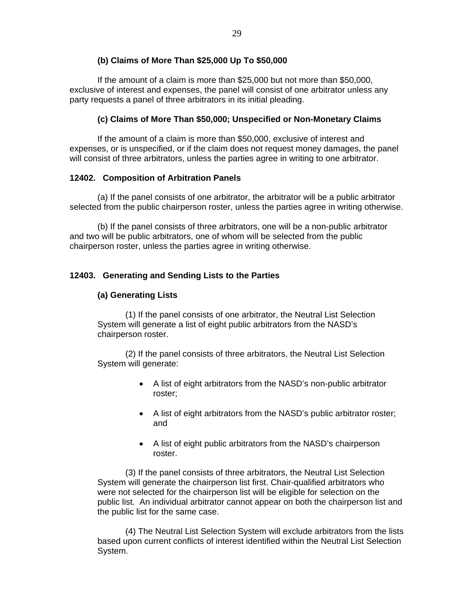# **(b) Claims of More Than \$25,000 Up To \$50,000**

If the amount of a claim is more than \$25,000 but not more than \$50,000, exclusive of interest and expenses, the panel will consist of one arbitrator unless any party requests a panel of three arbitrators in its initial pleading.

### **(c) Claims of More Than \$50,000; Unspecified or Non-Monetary Claims**

If the amount of a claim is more than \$50,000, exclusive of interest and expenses, or is unspecified, or if the claim does not request money damages, the panel will consist of three arbitrators, unless the parties agree in writing to one arbitrator.

### **12402. Composition of Arbitration Panels**

(a) If the panel consists of one arbitrator, the arbitrator will be a public arbitrator selected from the public chairperson roster, unless the parties agree in writing otherwise.

(b) If the panel consists of three arbitrators, one will be a non-public arbitrator and two will be public arbitrators, one of whom will be selected from the public chairperson roster, unless the parties agree in writing otherwise.

### **12403. Generating and Sending Lists to the Parties**

### **(a) Generating Lists**

(1) If the panel consists of one arbitrator, the Neutral List Selection System will generate a list of eight public arbitrators from the NASD's chairperson roster.

(2) If the panel consists of three arbitrators, the Neutral List Selection System will generate:

- A list of eight arbitrators from the NASD's non-public arbitrator roster;
- A list of eight arbitrators from the NASD's public arbitrator roster; and
- A list of eight public arbitrators from the NASD's chairperson roster.

(3) If the panel consists of three arbitrators, the Neutral List Selection System will generate the chairperson list first. Chair-qualified arbitrators who were not selected for the chairperson list will be eligible for selection on the public list. An individual arbitrator cannot appear on both the chairperson list and the public list for the same case.

(4) The Neutral List Selection System will exclude arbitrators from the lists based upon current conflicts of interest identified within the Neutral List Selection System.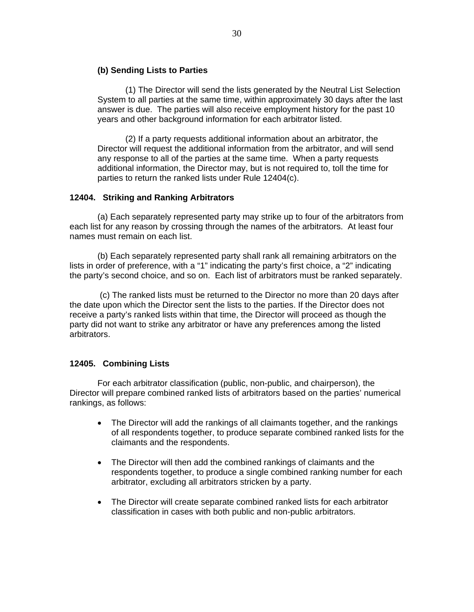### **(b) Sending Lists to Parties**

(1) The Director will send the lists generated by the Neutral List Selection System to all parties at the same time, within approximately 30 days after the last answer is due. The parties will also receive employment history for the past 10 years and other background information for each arbitrator listed.

(2) If a party requests additional information about an arbitrator, the Director will request the additional information from the arbitrator, and will send any response to all of the parties at the same time. When a party requests additional information, the Director may, but is not required to, toll the time for parties to return the ranked lists under Rule 12404(c).

### **12404. Striking and Ranking Arbitrators**

 (a) Each separately represented party may strike up to four of the arbitrators from each list for any reason by crossing through the names of the arbitrators. At least four names must remain on each list.

 (b) Each separately represented party shall rank all remaining arbitrators on the lists in order of preference, with a "1" indicating the party's first choice, a "2" indicating the party's second choice, and so on. Each list of arbitrators must be ranked separately.

 (c) The ranked lists must be returned to the Director no more than 20 days after the date upon which the Director sent the lists to the parties. If the Director does not receive a party's ranked lists within that time, the Director will proceed as though the party did not want to strike any arbitrator or have any preferences among the listed arbitrators.

# **12405. Combining Lists**

For each arbitrator classification (public, non-public, and chairperson), the Director will prepare combined ranked lists of arbitrators based on the parties' numerical rankings, as follows:

- The Director will add the rankings of all claimants together, and the rankings of all respondents together, to produce separate combined ranked lists for the claimants and the respondents.
- The Director will then add the combined rankings of claimants and the respondents together, to produce a single combined ranking number for each arbitrator, excluding all arbitrators stricken by a party.
- The Director will create separate combined ranked lists for each arbitrator classification in cases with both public and non-public arbitrators.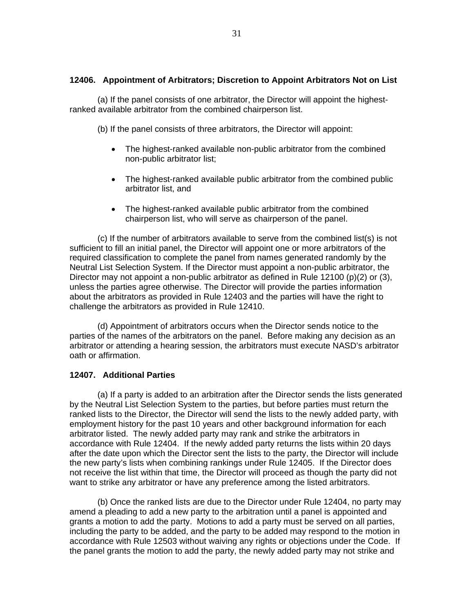#### **12406. Appointment of Arbitrators; Discretion to Appoint Arbitrators Not on List**

(a) If the panel consists of one arbitrator, the Director will appoint the highestranked available arbitrator from the combined chairperson list.

(b) If the panel consists of three arbitrators, the Director will appoint:

- The highest-ranked available non-public arbitrator from the combined non-public arbitrator list;
- The highest-ranked available public arbitrator from the combined public arbitrator list, and
- The highest-ranked available public arbitrator from the combined chairperson list, who will serve as chairperson of the panel.

(c) If the number of arbitrators available to serve from the combined list(s) is not sufficient to fill an initial panel, the Director will appoint one or more arbitrators of the required classification to complete the panel from names generated randomly by the Neutral List Selection System. If the Director must appoint a non-public arbitrator, the Director may not appoint a non-public arbitrator as defined in Rule 12100 (p)(2) or (3), unless the parties agree otherwise. The Director will provide the parties information about the arbitrators as provided in Rule 12403 and the parties will have the right to challenge the arbitrators as provided in Rule 12410.

(d) Appointment of arbitrators occurs when the Director sends notice to the parties of the names of the arbitrators on the panel. Before making any decision as an arbitrator or attending a hearing session, the arbitrators must execute NASD's arbitrator oath or affirmation.

#### **12407. Additional Parties**

(a) If a party is added to an arbitration after the Director sends the lists generated by the Neutral List Selection System to the parties, but before parties must return the ranked lists to the Director, the Director will send the lists to the newly added party, with employment history for the past 10 years and other background information for each arbitrator listed. The newly added party may rank and strike the arbitrators in accordance with Rule 12404. If the newly added party returns the lists within 20 days after the date upon which the Director sent the lists to the party, the Director will include the new party's lists when combining rankings under Rule 12405. If the Director does not receive the list within that time, the Director will proceed as though the party did not want to strike any arbitrator or have any preference among the listed arbitrators.

(b) Once the ranked lists are due to the Director under Rule 12404, no party may amend a pleading to add a new party to the arbitration until a panel is appointed and grants a motion to add the party. Motions to add a party must be served on all parties, including the party to be added, and the party to be added may respond to the motion in accordance with Rule 12503 without waiving any rights or objections under the Code. If the panel grants the motion to add the party, the newly added party may not strike and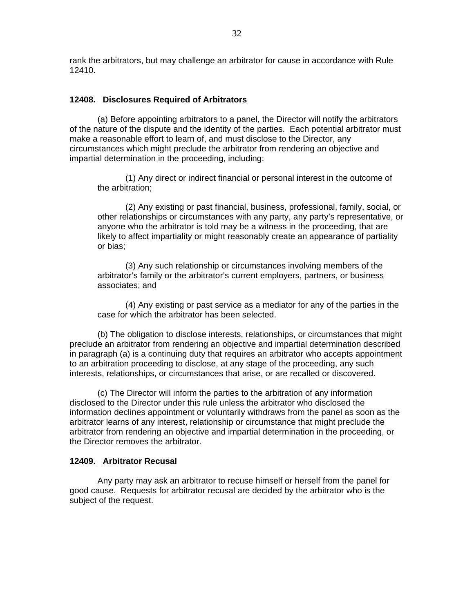rank the arbitrators, but may challenge an arbitrator for cause in accordance with Rule 12410.

#### **12408. Disclosures Required of Arbitrators**

(a) Before appointing arbitrators to a panel, the Director will notify the arbitrators of the nature of the dispute and the identity of the parties. Each potential arbitrator must make a reasonable effort to learn of, and must disclose to the Director, any circumstances which might preclude the arbitrator from rendering an objective and impartial determination in the proceeding, including:

 (1) Any direct or indirect financial or personal interest in the outcome of the arbitration;

(2) Any existing or past financial, business, professional, family, social, or other relationships or circumstances with any party, any party's representative, or anyone who the arbitrator is told may be a witness in the proceeding, that are likely to affect impartiality or might reasonably create an appearance of partiality or bias;

(3) Any such relationship or circumstances involving members of the arbitrator's family or the arbitrator's current employers, partners, or business associates; and

(4) Any existing or past service as a mediator for any of the parties in the case for which the arbitrator has been selected.

(b) The obligation to disclose interests, relationships, or circumstances that might preclude an arbitrator from rendering an objective and impartial determination described in paragraph (a) is a continuing duty that requires an arbitrator who accepts appointment to an arbitration proceeding to disclose, at any stage of the proceeding, any such interests, relationships, or circumstances that arise, or are recalled or discovered.

(c) The Director will inform the parties to the arbitration of any information disclosed to the Director under this rule unless the arbitrator who disclosed the information declines appointment or voluntarily withdraws from the panel as soon as the arbitrator learns of any interest, relationship or circumstance that might preclude the arbitrator from rendering an objective and impartial determination in the proceeding, or the Director removes the arbitrator.

#### **12409. Arbitrator Recusal**

Any party may ask an arbitrator to recuse himself or herself from the panel for good cause. Requests for arbitrator recusal are decided by the arbitrator who is the subject of the request.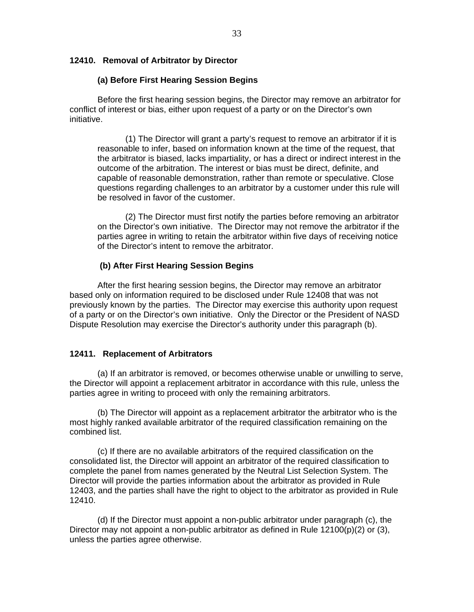#### **12410. Removal of Arbitrator by Director**

#### **(a) Before First Hearing Session Begins**

Before the first hearing session begins, the Director may remove an arbitrator for conflict of interest or bias, either upon request of a party or on the Director's own initiative.

(1) The Director will grant a party's request to remove an arbitrator if it is reasonable to infer, based on information known at the time of the request, that the arbitrator is biased, lacks impartiality, or has a direct or indirect interest in the outcome of the arbitration. The interest or bias must be direct, definite, and capable of reasonable demonstration, rather than remote or speculative. Close questions regarding challenges to an arbitrator by a customer under this rule will be resolved in favor of the customer.

(2) The Director must first notify the parties before removing an arbitrator on the Director's own initiative. The Director may not remove the arbitrator if the parties agree in writing to retain the arbitrator within five days of receiving notice of the Director's intent to remove the arbitrator.

#### **(b) After First Hearing Session Begins**

After the first hearing session begins, the Director may remove an arbitrator based only on information required to be disclosed under Rule 12408 that was not previously known by the parties. The Director may exercise this authority upon request of a party or on the Director's own initiative. Only the Director or the President of NASD Dispute Resolution may exercise the Director's authority under this paragraph (b).

#### **12411. Replacement of Arbitrators**

(a) If an arbitrator is removed, or becomes otherwise unable or unwilling to serve, the Director will appoint a replacement arbitrator in accordance with this rule, unless the parties agree in writing to proceed with only the remaining arbitrators.

(b) The Director will appoint as a replacement arbitrator the arbitrator who is the most highly ranked available arbitrator of the required classification remaining on the combined list.

 (c) If there are no available arbitrators of the required classification on the consolidated list, the Director will appoint an arbitrator of the required classification to complete the panel from names generated by the Neutral List Selection System. The Director will provide the parties information about the arbitrator as provided in Rule 12403, and the parties shall have the right to object to the arbitrator as provided in Rule 12410.

 (d) If the Director must appoint a non-public arbitrator under paragraph (c), the Director may not appoint a non-public arbitrator as defined in Rule  $12100(p)(2)$  or  $(3)$ , unless the parties agree otherwise.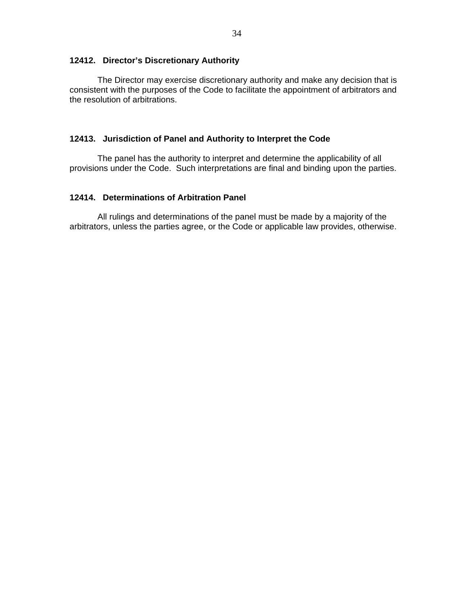### **12412. Director's Discretionary Authority**

The Director may exercise discretionary authority and make any decision that is consistent with the purposes of the Code to facilitate the appointment of arbitrators and the resolution of arbitrations.

#### **12413. Jurisdiction of Panel and Authority to Interpret the Code**

The panel has the authority to interpret and determine the applicability of all provisions under the Code. Such interpretations are final and binding upon the parties.

### **12414. Determinations of Arbitration Panel**

All rulings and determinations of the panel must be made by a majority of the arbitrators, unless the parties agree, or the Code or applicable law provides, otherwise.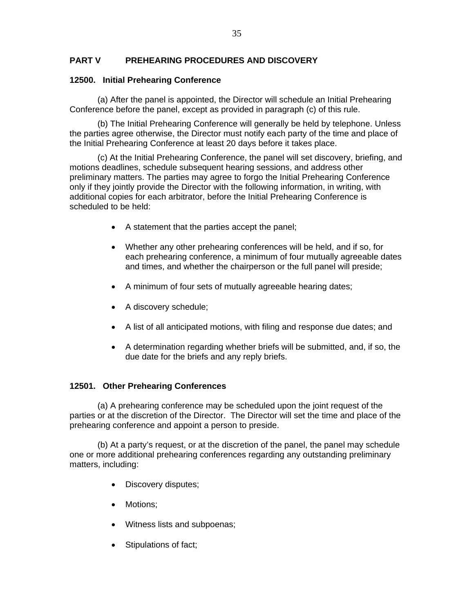# **PART V PREHEARING PROCEDURES AND DISCOVERY**

# **12500. Initial Prehearing Conference**

(a) After the panel is appointed, the Director will schedule an Initial Prehearing Conference before the panel, except as provided in paragraph (c) of this rule.

(b) The Initial Prehearing Conference will generally be held by telephone. Unless the parties agree otherwise, the Director must notify each party of the time and place of the Initial Prehearing Conference at least 20 days before it takes place.

(c) At the Initial Prehearing Conference, the panel will set discovery, briefing, and motions deadlines, schedule subsequent hearing sessions, and address other preliminary matters. The parties may agree to forgo the Initial Prehearing Conference only if they jointly provide the Director with the following information, in writing, with additional copies for each arbitrator, before the Initial Prehearing Conference is scheduled to be held:

- A statement that the parties accept the panel;
- Whether any other prehearing conferences will be held, and if so, for each prehearing conference, a minimum of four mutually agreeable dates and times, and whether the chairperson or the full panel will preside;
- A minimum of four sets of mutually agreeable hearing dates;
- A discovery schedule;
- A list of all anticipated motions, with filing and response due dates; and
- A determination regarding whether briefs will be submitted, and, if so, the due date for the briefs and any reply briefs.

# **12501. Other Prehearing Conferences**

(a) A prehearing conference may be scheduled upon the joint request of the parties or at the discretion of the Director. The Director will set the time and place of the prehearing conference and appoint a person to preside.

(b) At a party's request, or at the discretion of the panel, the panel may schedule one or more additional prehearing conferences regarding any outstanding preliminary matters, including:

- Discovery disputes;
- Motions:
- Witness lists and subpoenas;
- Stipulations of fact;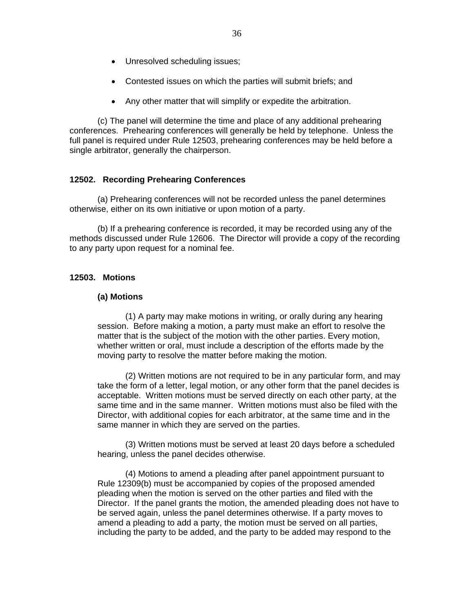- Unresolved scheduling issues;
- Contested issues on which the parties will submit briefs; and
- Any other matter that will simplify or expedite the arbitration.

(c) The panel will determine the time and place of any additional prehearing conferences. Prehearing conferences will generally be held by telephone. Unless the full panel is required under Rule 12503, prehearing conferences may be held before a single arbitrator, generally the chairperson.

### **12502. Recording Prehearing Conferences**

(a) Prehearing conferences will not be recorded unless the panel determines otherwise, either on its own initiative or upon motion of a party.

(b) If a prehearing conference is recorded, it may be recorded using any of the methods discussed under Rule 12606. The Director will provide a copy of the recording to any party upon request for a nominal fee.

#### **12503. Motions**

#### **(a) Motions**

(1) A party may make motions in writing, or orally during any hearing session. Before making a motion, a party must make an effort to resolve the matter that is the subject of the motion with the other parties. Every motion, whether written or oral, must include a description of the efforts made by the moving party to resolve the matter before making the motion.

(2) Written motions are not required to be in any particular form, and may take the form of a letter, legal motion, or any other form that the panel decides is acceptable. Written motions must be served directly on each other party, at the same time and in the same manner. Written motions must also be filed with the Director, with additional copies for each arbitrator, at the same time and in the same manner in which they are served on the parties.

(3) Written motions must be served at least 20 days before a scheduled hearing, unless the panel decides otherwise.

(4) Motions to amend a pleading after panel appointment pursuant to Rule 12309(b) must be accompanied by copies of the proposed amended pleading when the motion is served on the other parties and filed with the Director. If the panel grants the motion, the amended pleading does not have to be served again, unless the panel determines otherwise. If a party moves to amend a pleading to add a party, the motion must be served on all parties, including the party to be added, and the party to be added may respond to the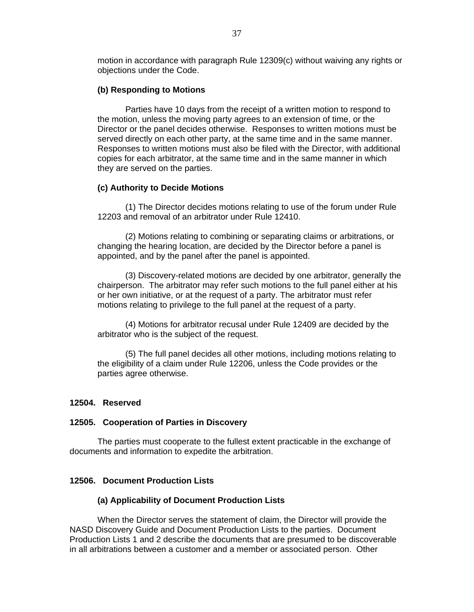motion in accordance with paragraph Rule 12309(c) without waiving any rights or objections under the Code.

#### **(b) Responding to Motions**

Parties have 10 days from the receipt of a written motion to respond to the motion, unless the moving party agrees to an extension of time, or the Director or the panel decides otherwise. Responses to written motions must be served directly on each other party, at the same time and in the same manner. Responses to written motions must also be filed with the Director, with additional copies for each arbitrator, at the same time and in the same manner in which they are served on the parties.

#### **(c) Authority to Decide Motions**

 (1) The Director decides motions relating to use of the forum under Rule 12203 and removal of an arbitrator under Rule 12410.

 (2) Motions relating to combining or separating claims or arbitrations, or changing the hearing location, are decided by the Director before a panel is appointed, and by the panel after the panel is appointed.

(3) Discovery-related motions are decided by one arbitrator, generally the chairperson. The arbitrator may refer such motions to the full panel either at his or her own initiative, or at the request of a party. The arbitrator must refer motions relating to privilege to the full panel at the request of a party.

(4) Motions for arbitrator recusal under Rule 12409 are decided by the arbitrator who is the subject of the request.

(5) The full panel decides all other motions, including motions relating to the eligibility of a claim under Rule 12206, unless the Code provides or the parties agree otherwise.

#### **12504. Reserved**

#### **12505. Cooperation of Parties in Discovery**

The parties must cooperate to the fullest extent practicable in the exchange of documents and information to expedite the arbitration.

### **12506. Document Production Lists**

#### **(a) Applicability of Document Production Lists**

When the Director serves the statement of claim, the Director will provide the NASD Discovery Guide and Document Production Lists to the parties. Document Production Lists 1 and 2 describe the documents that are presumed to be discoverable in all arbitrations between a customer and a member or associated person. Other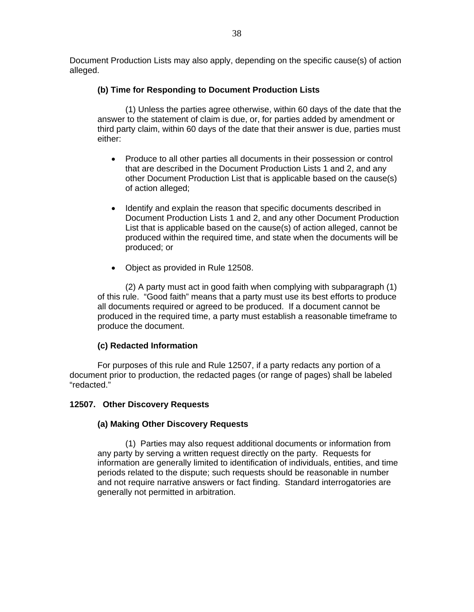Document Production Lists may also apply, depending on the specific cause(s) of action alleged.

# **(b) Time for Responding to Document Production Lists**

 (1) Unless the parties agree otherwise, within 60 days of the date that the answer to the statement of claim is due, or, for parties added by amendment or third party claim, within 60 days of the date that their answer is due, parties must either:

- Produce to all other parties all documents in their possession or control that are described in the Document Production Lists 1 and 2, and any other Document Production List that is applicable based on the cause(s) of action alleged;
- Identify and explain the reason that specific documents described in Document Production Lists 1 and 2, and any other Document Production List that is applicable based on the cause(s) of action alleged, cannot be produced within the required time, and state when the documents will be produced; or
- Object as provided in Rule 12508.

(2) A party must act in good faith when complying with subparagraph (1) of this rule. "Good faith" means that a party must use its best efforts to produce all documents required or agreed to be produced. If a document cannot be produced in the required time, a party must establish a reasonable timeframe to produce the document.

# **(c) Redacted Information**

 For purposes of this rule and Rule 12507, if a party redacts any portion of a document prior to production, the redacted pages (or range of pages) shall be labeled "redacted."

# **12507. Other Discovery Requests**

# **(a) Making Other Discovery Requests**

(1) Parties may also request additional documents or information from any party by serving a written request directly on the party. Requests for information are generally limited to identification of individuals, entities, and time periods related to the dispute; such requests should be reasonable in number and not require narrative answers or fact finding. Standard interrogatories are generally not permitted in arbitration.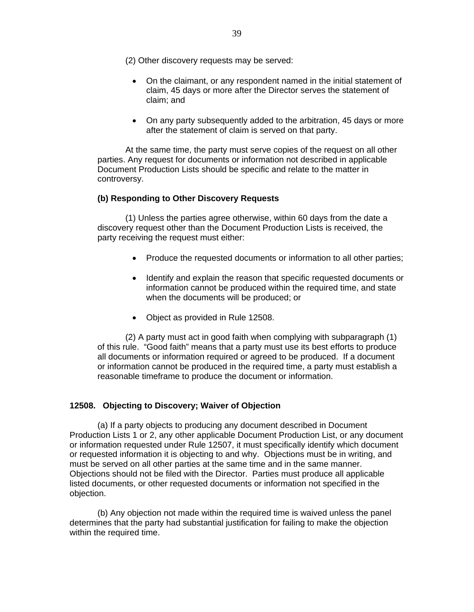(2) Other discovery requests may be served:

- On the claimant, or any respondent named in the initial statement of claim, 45 days or more after the Director serves the statement of claim; and
- On any party subsequently added to the arbitration, 45 days or more after the statement of claim is served on that party.

At the same time, the party must serve copies of the request on all other parties. Any request for documents or information not described in applicable Document Production Lists should be specific and relate to the matter in controversy.

### **(b) Responding to Other Discovery Requests**

(1) Unless the parties agree otherwise, within 60 days from the date a discovery request other than the Document Production Lists is received, the party receiving the request must either:

- Produce the requested documents or information to all other parties;
- Identify and explain the reason that specific requested documents or information cannot be produced within the required time, and state when the documents will be produced; or
- Object as provided in Rule 12508.

(2) A party must act in good faith when complying with subparagraph (1) of this rule. "Good faith" means that a party must use its best efforts to produce all documents or information required or agreed to be produced. If a document or information cannot be produced in the required time, a party must establish a reasonable timeframe to produce the document or information.

### **12508. Objecting to Discovery; Waiver of Objection**

(a) If a party objects to producing any document described in Document Production Lists 1 or 2, any other applicable Document Production List, or any document or information requested under Rule 12507, it must specifically identify which document or requested information it is objecting to and why. Objections must be in writing, and must be served on all other parties at the same time and in the same manner. Objections should not be filed with the Director. Parties must produce all applicable listed documents, or other requested documents or information not specified in the objection.

(b) Any objection not made within the required time is waived unless the panel determines that the party had substantial justification for failing to make the objection within the required time.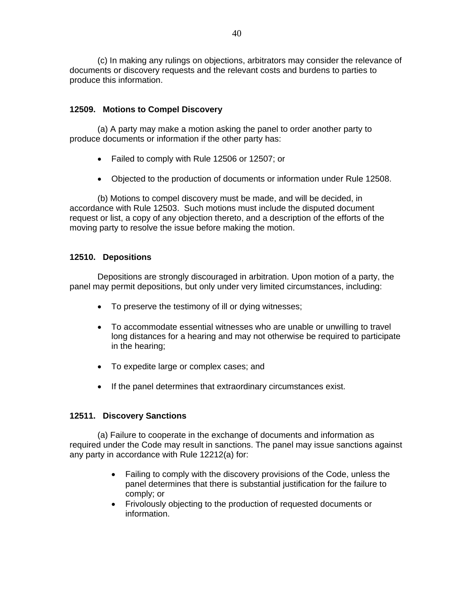(c) In making any rulings on objections, arbitrators may consider the relevance of documents or discovery requests and the relevant costs and burdens to parties to produce this information.

### **12509. Motions to Compel Discovery**

(a) A party may make a motion asking the panel to order another party to produce documents or information if the other party has:

- Failed to comply with Rule 12506 or 12507; or
- Objected to the production of documents or information under Rule 12508.

(b) Motions to compel discovery must be made, and will be decided, in accordance with Rule 12503. Such motions must include the disputed document request or list, a copy of any objection thereto, and a description of the efforts of the moving party to resolve the issue before making the motion.

### **12510. Depositions**

Depositions are strongly discouraged in arbitration. Upon motion of a party, the panel may permit depositions, but only under very limited circumstances, including:

- To preserve the testimony of ill or dying witnesses;
- To accommodate essential witnesses who are unable or unwilling to travel long distances for a hearing and may not otherwise be required to participate in the hearing;
- To expedite large or complex cases; and
- If the panel determines that extraordinary circumstances exist.

### **12511. Discovery Sanctions**

(a) Failure to cooperate in the exchange of documents and information as required under the Code may result in sanctions. The panel may issue sanctions against any party in accordance with Rule 12212(a) for:

- Failing to comply with the discovery provisions of the Code, unless the panel determines that there is substantial justification for the failure to comply; or
- Frivolously objecting to the production of requested documents or information.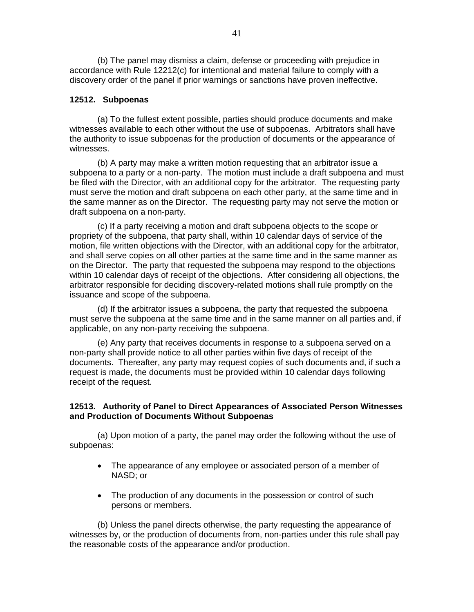(b) The panel may dismiss a claim, defense or proceeding with prejudice in accordance with Rule 12212(c) for intentional and material failure to comply with a discovery order of the panel if prior warnings or sanctions have proven ineffective.

### **12512. Subpoenas**

(a) To the fullest extent possible, parties should produce documents and make witnesses available to each other without the use of subpoenas. Arbitrators shall have the authority to issue subpoenas for the production of documents or the appearance of witnesses.

(b) A party may make a written motion requesting that an arbitrator issue a subpoena to a party or a non-party. The motion must include a draft subpoena and must be filed with the Director, with an additional copy for the arbitrator. The requesting party must serve the motion and draft subpoena on each other party, at the same time and in the same manner as on the Director. The requesting party may not serve the motion or draft subpoena on a non-party.

(c) If a party receiving a motion and draft subpoena objects to the scope or propriety of the subpoena, that party shall, within 10 calendar days of service of the motion, file written objections with the Director, with an additional copy for the arbitrator, and shall serve copies on all other parties at the same time and in the same manner as on the Director. The party that requested the subpoena may respond to the objections within 10 calendar days of receipt of the objections. After considering all objections, the arbitrator responsible for deciding discovery-related motions shall rule promptly on the issuance and scope of the subpoena.

(d) If the arbitrator issues a subpoena, the party that requested the subpoena must serve the subpoena at the same time and in the same manner on all parties and, if applicable, on any non-party receiving the subpoena.

(e) Any party that receives documents in response to a subpoena served on a non-party shall provide notice to all other parties within five days of receipt of the documents. Thereafter, any party may request copies of such documents and, if such a request is made, the documents must be provided within 10 calendar days following receipt of the request.

### **12513. Authority of Panel to Direct Appearances of Associated Person Witnesses and Production of Documents Without Subpoenas**

(a) Upon motion of a party, the panel may order the following without the use of subpoenas:

- The appearance of any employee or associated person of a member of NASD; or
- The production of any documents in the possession or control of such persons or members.

(b) Unless the panel directs otherwise, the party requesting the appearance of witnesses by, or the production of documents from, non-parties under this rule shall pay the reasonable costs of the appearance and/or production.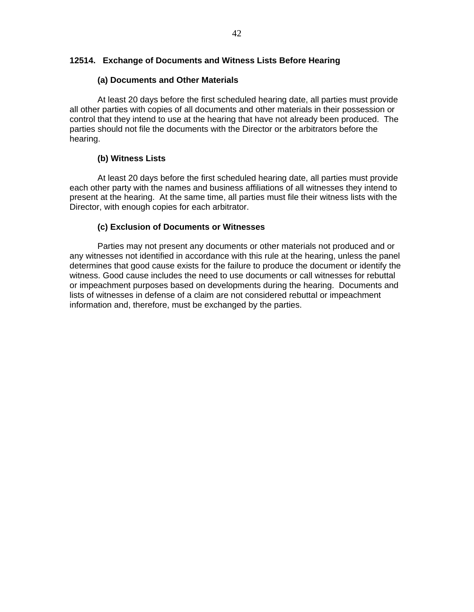### **12514. Exchange of Documents and Witness Lists Before Hearing**

### **(a) Documents and Other Materials**

At least 20 days before the first scheduled hearing date, all parties must provide all other parties with copies of all documents and other materials in their possession or control that they intend to use at the hearing that have not already been produced. The parties should not file the documents with the Director or the arbitrators before the hearing.

### **(b) Witness Lists**

At least 20 days before the first scheduled hearing date, all parties must provide each other party with the names and business affiliations of all witnesses they intend to present at the hearing. At the same time, all parties must file their witness lists with the Director, with enough copies for each arbitrator.

### **(c) Exclusion of Documents or Witnesses**

Parties may not present any documents or other materials not produced and or any witnesses not identified in accordance with this rule at the hearing, unless the panel determines that good cause exists for the failure to produce the document or identify the witness. Good cause includes the need to use documents or call witnesses for rebuttal or impeachment purposes based on developments during the hearing. Documents and lists of witnesses in defense of a claim are not considered rebuttal or impeachment information and, therefore, must be exchanged by the parties.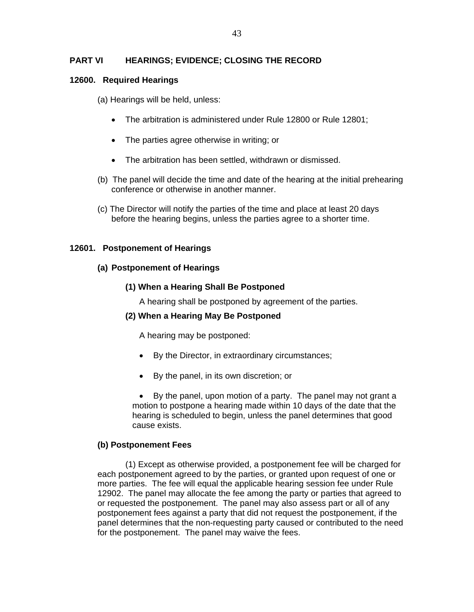### **PART VI HEARINGS; EVIDENCE; CLOSING THE RECORD**

#### **12600. Required Hearings**

(a) Hearings will be held, unless:

- The arbitration is administered under Rule 12800 or Rule 12801;
- The parties agree otherwise in writing; or
- The arbitration has been settled, withdrawn or dismissed.
- (b) The panel will decide the time and date of the hearing at the initial prehearing conference or otherwise in another manner.
- (c) The Director will notify the parties of the time and place at least 20 days before the hearing begins, unless the parties agree to a shorter time.

#### **12601. Postponement of Hearings**

#### **(a) Postponement of Hearings**

### **(1) When a Hearing Shall Be Postponed**

A hearing shall be postponed by agreement of the parties.

### **(2) When a Hearing May Be Postponed**

A hearing may be postponed:

- By the Director, in extraordinary circumstances;
- By the panel, in its own discretion; or

• By the panel, upon motion of a party. The panel may not grant a motion to postpone a hearing made within 10 days of the date that the hearing is scheduled to begin, unless the panel determines that good cause exists.

### **(b) Postponement Fees**

(1) Except as otherwise provided, a postponement fee will be charged for each postponement agreed to by the parties, or granted upon request of one or more parties. The fee will equal the applicable hearing session fee under Rule 12902. The panel may allocate the fee among the party or parties that agreed to or requested the postponement. The panel may also assess part or all of any postponement fees against a party that did not request the postponement, if the panel determines that the non-requesting party caused or contributed to the need for the postponement. The panel may waive the fees.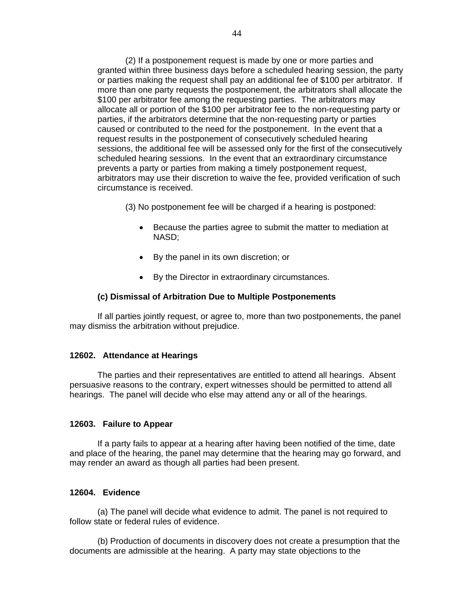(2) If a postponement request is made by one or more parties and granted within three business days before a scheduled hearing session, the party or parties making the request shall pay an additional fee of \$100 per arbitrator. If more than one party requests the postponement, the arbitrators shall allocate the \$100 per arbitrator fee among the requesting parties. The arbitrators may allocate all or portion of the \$100 per arbitrator fee to the non-requesting party or parties, if the arbitrators determine that the non-requesting party or parties caused or contributed to the need for the postponement. In the event that a request results in the postponement of consecutively scheduled hearing sessions, the additional fee will be assessed only for the first of the consecutively scheduled hearing sessions. In the event that an extraordinary circumstance prevents a party or parties from making a timely postponement request, arbitrators may use their discretion to waive the fee, provided verification of such circumstance is received.

(3) No postponement fee will be charged if a hearing is postponed:

- Because the parties agree to submit the matter to mediation at NASD;
- By the panel in its own discretion; or
- By the Director in extraordinary circumstances.

#### **(c) Dismissal of Arbitration Due to Multiple Postponements**

If all parties jointly request, or agree to, more than two postponements, the panel may dismiss the arbitration without prejudice.

#### **12602. Attendance at Hearings**

The parties and their representatives are entitled to attend all hearings. Absent persuasive reasons to the contrary, expert witnesses should be permitted to attend all hearings. The panel will decide who else may attend any or all of the hearings.

#### **12603. Failure to Appear**

If a party fails to appear at a hearing after having been notified of the time, date and place of the hearing, the panel may determine that the hearing may go forward, and may render an award as though all parties had been present.

#### **12604. Evidence**

(a) The panel will decide what evidence to admit. The panel is not required to follow state or federal rules of evidence.

(b) Production of documents in discovery does not create a presumption that the documents are admissible at the hearing. A party may state objections to the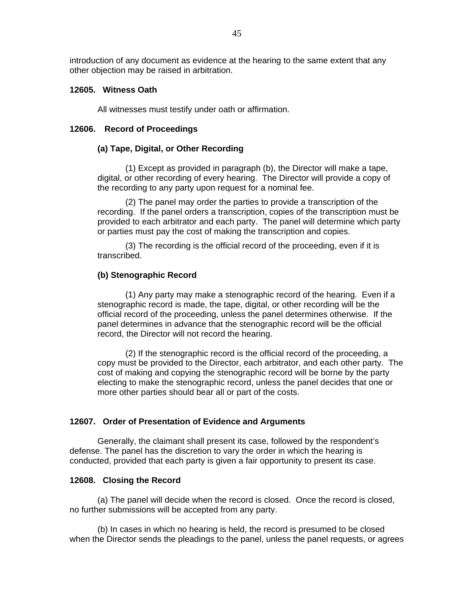introduction of any document as evidence at the hearing to the same extent that any other objection may be raised in arbitration.

### **12605. Witness Oath**

All witnesses must testify under oath or affirmation.

#### **12606. Record of Proceedings**

#### **(a) Tape, Digital, or Other Recording**

 (1) Except as provided in paragraph (b), the Director will make a tape, digital, or other recording of every hearing. The Director will provide a copy of the recording to any party upon request for a nominal fee.

(2) The panel may order the parties to provide a transcription of the recording. If the panel orders a transcription, copies of the transcription must be provided to each arbitrator and each party. The panel will determine which party or parties must pay the cost of making the transcription and copies.

(3) The recording is the official record of the proceeding, even if it is transcribed.

#### **(b) Stenographic Record**

(1) Any party may make a stenographic record of the hearing. Even if a stenographic record is made, the tape, digital, or other recording will be the official record of the proceeding, unless the panel determines otherwise. If the panel determines in advance that the stenographic record will be the official record, the Director will not record the hearing.

(2) If the stenographic record is the official record of the proceeding, a copy must be provided to the Director, each arbitrator, and each other party. The cost of making and copying the stenographic record will be borne by the party electing to make the stenographic record, unless the panel decides that one or more other parties should bear all or part of the costs.

#### **12607. Order of Presentation of Evidence and Arguments**

Generally, the claimant shall present its case, followed by the respondent's defense. The panel has the discretion to vary the order in which the hearing is conducted, provided that each party is given a fair opportunity to present its case.

#### **12608. Closing the Record**

(a) The panel will decide when the record is closed. Once the record is closed, no further submissions will be accepted from any party.

(b) In cases in which no hearing is held, the record is presumed to be closed when the Director sends the pleadings to the panel, unless the panel requests, or agrees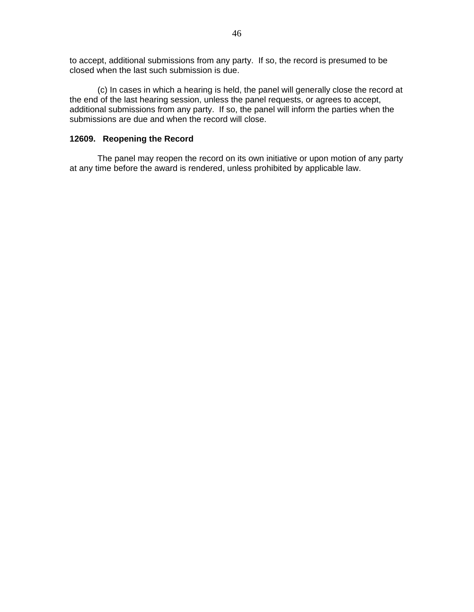to accept, additional submissions from any party. If so, the record is presumed to be closed when the last such submission is due.

(c) In cases in which a hearing is held, the panel will generally close the record at the end of the last hearing session, unless the panel requests, or agrees to accept, additional submissions from any party. If so, the panel will inform the parties when the submissions are due and when the record will close.

### **12609. Reopening the Record**

The panel may reopen the record on its own initiative or upon motion of any party at any time before the award is rendered, unless prohibited by applicable law.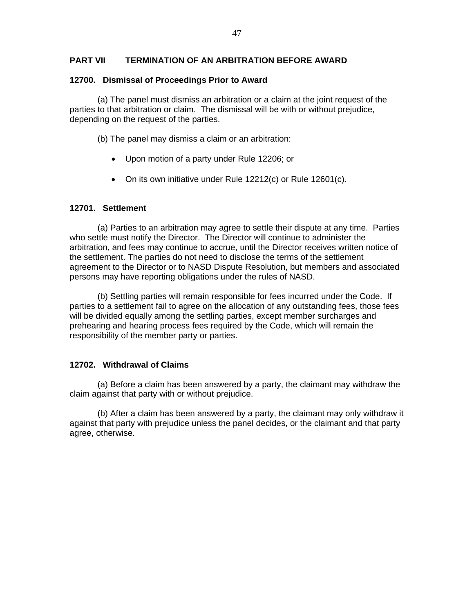### **PART VII TERMINATION OF AN ARBITRATION BEFORE AWARD**

### **12700. Dismissal of Proceedings Prior to Award**

(a) The panel must dismiss an arbitration or a claim at the joint request of the parties to that arbitration or claim. The dismissal will be with or without prejudice, depending on the request of the parties.

(b) The panel may dismiss a claim or an arbitration:

- Upon motion of a party under Rule 12206; or
- On its own initiative under Rule 12212(c) or Rule 12601(c).

### **12701. Settlement**

(a) Parties to an arbitration may agree to settle their dispute at any time. Parties who settle must notify the Director. The Director will continue to administer the arbitration, and fees may continue to accrue, until the Director receives written notice of the settlement. The parties do not need to disclose the terms of the settlement agreement to the Director or to NASD Dispute Resolution, but members and associated persons may have reporting obligations under the rules of NASD.

(b) Settling parties will remain responsible for fees incurred under the Code. If parties to a settlement fail to agree on the allocation of any outstanding fees, those fees will be divided equally among the settling parties, except member surcharges and prehearing and hearing process fees required by the Code, which will remain the responsibility of the member party or parties.

### **12702. Withdrawal of Claims**

(a) Before a claim has been answered by a party, the claimant may withdraw the claim against that party with or without prejudice.

(b) After a claim has been answered by a party, the claimant may only withdraw it against that party with prejudice unless the panel decides, or the claimant and that party agree, otherwise.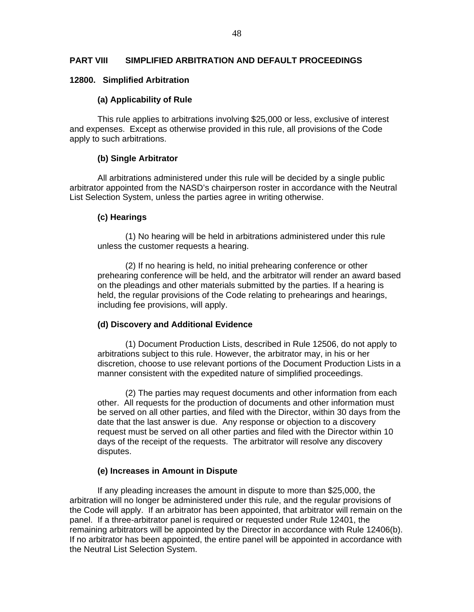### **PART VIII SIMPLIFIED ARBITRATION AND DEFAULT PROCEEDINGS**

### **12800. Simplified Arbitration**

### **(a) Applicability of Rule**

This rule applies to arbitrations involving \$25,000 or less, exclusive of interest and expenses. Except as otherwise provided in this rule, all provisions of the Code apply to such arbitrations.

### **(b) Single Arbitrator**

All arbitrations administered under this rule will be decided by a single public arbitrator appointed from the NASD's chairperson roster in accordance with the Neutral List Selection System, unless the parties agree in writing otherwise.

#### **(c) Hearings**

(1) No hearing will be held in arbitrations administered under this rule unless the customer requests a hearing.

(2) If no hearing is held, no initial prehearing conference or other prehearing conference will be held, and the arbitrator will render an award based on the pleadings and other materials submitted by the parties. If a hearing is held, the regular provisions of the Code relating to prehearings and hearings, including fee provisions, will apply.

### **(d) Discovery and Additional Evidence**

(1) Document Production Lists, described in Rule 12506, do not apply to arbitrations subject to this rule. However, the arbitrator may, in his or her discretion, choose to use relevant portions of the Document Production Lists in a manner consistent with the expedited nature of simplified proceedings.

(2) The parties may request documents and other information from each other. All requests for the production of documents and other information must be served on all other parties, and filed with the Director, within 30 days from the date that the last answer is due. Any response or objection to a discovery request must be served on all other parties and filed with the Director within 10 days of the receipt of the requests. The arbitrator will resolve any discovery disputes.

### **(e) Increases in Amount in Dispute**

If any pleading increases the amount in dispute to more than \$25,000, the arbitration will no longer be administered under this rule, and the regular provisions of the Code will apply. If an arbitrator has been appointed, that arbitrator will remain on the panel. If a three-arbitrator panel is required or requested under Rule 12401, the remaining arbitrators will be appointed by the Director in accordance with Rule 12406(b). If no arbitrator has been appointed, the entire panel will be appointed in accordance with the Neutral List Selection System.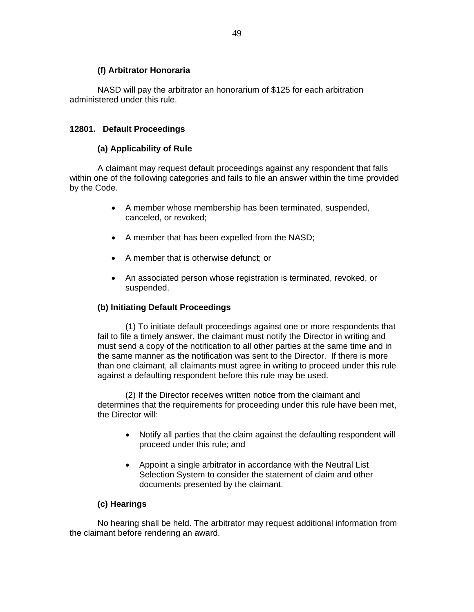### **(f) Arbitrator Honoraria**

NASD will pay the arbitrator an honorarium of \$125 for each arbitration administered under this rule.

### **12801. Default Proceedings**

### **(a) Applicability of Rule**

A claimant may request default proceedings against any respondent that falls within one of the following categories and fails to file an answer within the time provided by the Code.

- A member whose membership has been terminated, suspended, canceled, or revoked;
- A member that has been expelled from the NASD;
- A member that is otherwise defunct; or
- An associated person whose registration is terminated, revoked, or suspended.

### **(b) Initiating Default Proceedings**

(1) To initiate default proceedings against one or more respondents that fail to file a timely answer, the claimant must notify the Director in writing and must send a copy of the notification to all other parties at the same time and in the same manner as the notification was sent to the Director. If there is more than one claimant, all claimants must agree in writing to proceed under this rule against a defaulting respondent before this rule may be used.

(2) If the Director receives written notice from the claimant and determines that the requirements for proceeding under this rule have been met, the Director will:

- Notify all parties that the claim against the defaulting respondent will proceed under this rule; and
- Appoint a single arbitrator in accordance with the Neutral List Selection System to consider the statement of claim and other documents presented by the claimant.

### **(c) Hearings**

No hearing shall be held. The arbitrator may request additional information from the claimant before rendering an award.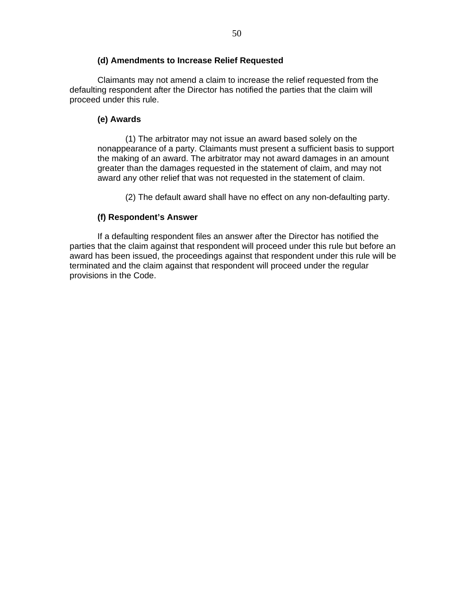### **(d) Amendments to Increase Relief Requested**

Claimants may not amend a claim to increase the relief requested from the defaulting respondent after the Director has notified the parties that the claim will proceed under this rule.

### **(e) Awards**

(1) The arbitrator may not issue an award based solely on the nonappearance of a party. Claimants must present a sufficient basis to support the making of an award. The arbitrator may not award damages in an amount greater than the damages requested in the statement of claim, and may not award any other relief that was not requested in the statement of claim.

(2) The default award shall have no effect on any non-defaulting party.

# **(f) Respondent's Answer**

If a defaulting respondent files an answer after the Director has notified the parties that the claim against that respondent will proceed under this rule but before an award has been issued, the proceedings against that respondent under this rule will be terminated and the claim against that respondent will proceed under the regular provisions in the Code.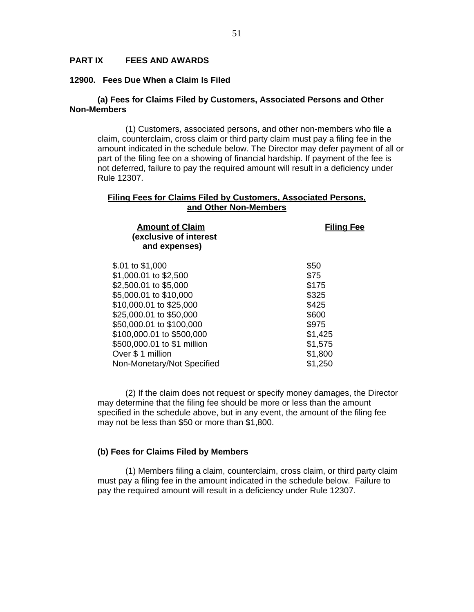### **PART IX FEES AND AWARDS**

#### **12900. Fees Due When a Claim Is Filed**

### **(a) Fees for Claims Filed by Customers, Associated Persons and Other Non-Members**

(1) Customers, associated persons, and other non-members who file a claim, counterclaim, cross claim or third party claim must pay a filing fee in the amount indicated in the schedule below. The Director may defer payment of all or part of the filing fee on a showing of financial hardship. If payment of the fee is not deferred, failure to pay the required amount will result in a deficiency under Rule 12307.

#### **Filing Fees for Claims Filed by Customers, Associated Persons, and Other Non-Members**

| <b>Amount of Claim</b><br>(exclusive of interest<br>and expenses) | <b>Filing Fee</b> |
|-------------------------------------------------------------------|-------------------|
| \$.01 to \$1,000                                                  | \$50              |
| \$1,000.01 to \$2,500                                             | \$75              |
| \$2,500.01 to \$5,000                                             | \$175             |
| \$5,000.01 to \$10,000                                            | \$325             |
| \$10,000.01 to \$25,000                                           | \$425             |
| \$25,000.01 to \$50,000                                           | \$600             |
| \$50,000.01 to \$100,000                                          | \$975             |
| \$100,000.01 to \$500,000                                         | \$1,425           |
| \$500,000.01 to \$1 million                                       | \$1,575           |
| Over \$ 1 million                                                 | \$1,800           |
| Non-Monetary/Not Specified                                        | \$1,250           |
|                                                                   |                   |

(2) If the claim does not request or specify money damages, the Director may determine that the filing fee should be more or less than the amount specified in the schedule above, but in any event, the amount of the filing fee may not be less than \$50 or more than \$1,800.

#### **(b) Fees for Claims Filed by Members**

(1) Members filing a claim, counterclaim, cross claim, or third party claim must pay a filing fee in the amount indicated in the schedule below. Failure to pay the required amount will result in a deficiency under Rule 12307.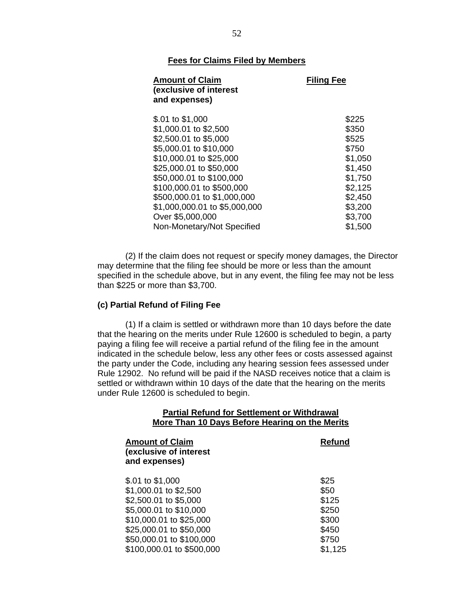### **Fees for Claims Filed by Members**

| <b>Amount of Claim</b><br>(exclusive of interest<br>and expenses) | <b>Filing Fee</b> |
|-------------------------------------------------------------------|-------------------|
| \$.01 to \$1,000                                                  | \$225             |
| \$1,000.01 to \$2,500                                             | \$350             |
| \$2,500.01 to \$5,000                                             | \$525             |
| \$5,000.01 to \$10,000                                            | \$750             |
| \$10,000.01 to \$25,000                                           | \$1,050           |
| \$25,000.01 to \$50,000                                           | \$1,450           |
| \$50,000.01 to \$100,000                                          | \$1,750           |
| \$100,000.01 to \$500,000                                         | \$2,125           |
| \$500,000.01 to \$1,000,000                                       | \$2,450           |
| \$1,000,000.01 to \$5,000,000                                     | \$3,200           |
| Over \$5,000,000                                                  | \$3,700           |
| Non-Monetary/Not Specified                                        | \$1,500           |

(2) If the claim does not request or specify money damages, the Director may determine that the filing fee should be more or less than the amount specified in the schedule above, but in any event, the filing fee may not be less than \$225 or more than \$3,700.

#### **(c) Partial Refund of Filing Fee**

(1) If a claim is settled or withdrawn more than 10 days before the date that the hearing on the merits under Rule 12600 is scheduled to begin, a party paying a filing fee will receive a partial refund of the filing fee in the amount indicated in the schedule below, less any other fees or costs assessed against the party under the Code, including any hearing session fees assessed under Rule 12902. No refund will be paid if the NASD receives notice that a claim is settled or withdrawn within 10 days of the date that the hearing on the merits under Rule 12600 is scheduled to begin.

#### **Partial Refund for Settlement or Withdrawal More Than 10 Days Before Hearing on the Merits**

| <b>Amount of Claim</b><br>(exclusive of interest<br>and expenses) | Refund  |
|-------------------------------------------------------------------|---------|
| \$.01 to \$1,000                                                  | \$25    |
| \$1,000.01 to \$2,500                                             | \$50    |
| \$2,500.01 to \$5,000                                             | \$125   |
| \$5,000.01 to \$10,000                                            | \$250   |
| \$10,000.01 to \$25,000                                           | \$300   |
| \$25,000.01 to \$50,000                                           | \$450   |
| \$50,000.01 to \$100,000                                          | \$750   |
| \$100,000.01 to \$500,000                                         | \$1,125 |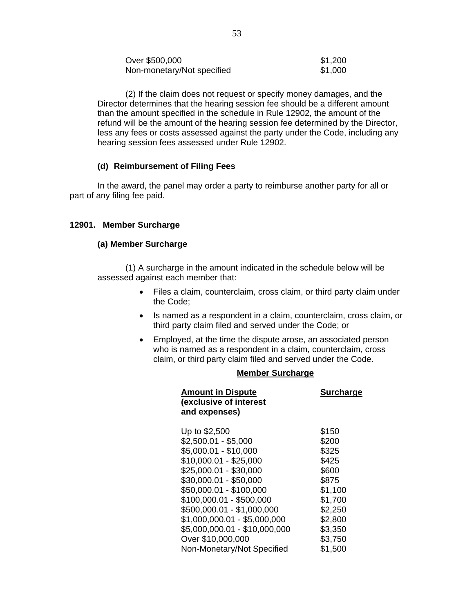| Over \$500,000             | \$1,200 |
|----------------------------|---------|
| Non-monetary/Not specified | \$1,000 |

(2) If the claim does not request or specify money damages, and the Director determines that the hearing session fee should be a different amount than the amount specified in the schedule in Rule 12902, the amount of the refund will be the amount of the hearing session fee determined by the Director, less any fees or costs assessed against the party under the Code, including any hearing session fees assessed under Rule 12902.

### **(d) Reimbursement of Filing Fees**

In the award, the panel may order a party to reimburse another party for all or part of any filing fee paid.

### **12901. Member Surcharge**

#### **(a) Member Surcharge**

(1) A surcharge in the amount indicated in the schedule below will be assessed against each member that:

- Files a claim, counterclaim, cross claim, or third party claim under the Code;
- Is named as a respondent in a claim, counterclaim, cross claim, or third party claim filed and served under the Code; or
- Employed, at the time the dispute arose, an associated person who is named as a respondent in a claim, counterclaim, cross claim, or third party claim filed and served under the Code.

### **Member Surcharge**

| <b>Amount in Dispute</b><br>(exclusive of interest<br>and expenses) | <b>Surcharge</b> |
|---------------------------------------------------------------------|------------------|
| Up to \$2,500                                                       | \$150            |
| $$2,500.01 - $5,000$                                                | \$200            |
| \$5,000.01 - \$10,000                                               | \$325            |
| $$10,000.01 - $25,000$                                              | \$425            |
| \$25,000.01 - \$30,000                                              | \$600            |
| \$30,000.01 - \$50,000                                              | \$875            |
| \$50,000.01 - \$100,000                                             | \$1,100          |
| \$100,000.01 - \$500,000                                            | \$1,700          |
| \$500,000.01 - \$1,000,000                                          | \$2,250          |
| $$1,000,000.01 - $5,000,000$                                        | \$2,800          |
| \$5,000,000.01 - \$10,000,000                                       | \$3,350          |
| Over \$10,000,000                                                   | \$3,750          |
| Non-Monetary/Not Specified                                          | \$1,500          |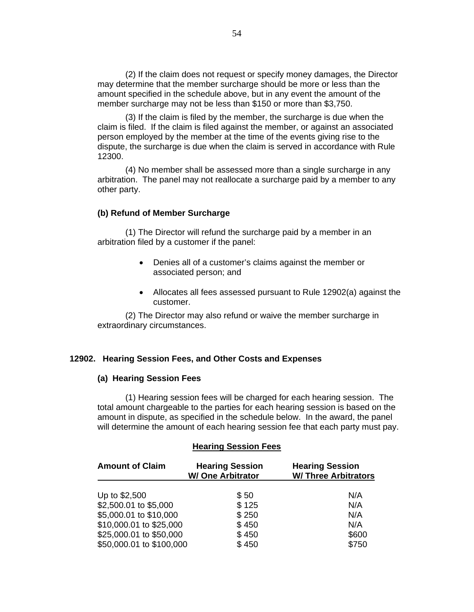(2) If the claim does not request or specify money damages, the Director may determine that the member surcharge should be more or less than the amount specified in the schedule above, but in any event the amount of the member surcharge may not be less than \$150 or more than \$3,750.

(3) If the claim is filed by the member, the surcharge is due when the claim is filed. If the claim is filed against the member, or against an associated person employed by the member at the time of the events giving rise to the dispute, the surcharge is due when the claim is served in accordance with Rule 12300.

(4) No member shall be assessed more than a single surcharge in any arbitration. The panel may not reallocate a surcharge paid by a member to any other party.

#### **(b) Refund of Member Surcharge**

(1) The Director will refund the surcharge paid by a member in an arbitration filed by a customer if the panel:

- Denies all of a customer's claims against the member or associated person; and
- Allocates all fees assessed pursuant to Rule 12902(a) against the customer.

(2) The Director may also refund or waive the member surcharge in extraordinary circumstances.

#### **12902. Hearing Session Fees, and Other Costs and Expenses**

#### **(a) Hearing Session Fees**

(1) Hearing session fees will be charged for each hearing session. The total amount chargeable to the parties for each hearing session is based on the amount in dispute, as specified in the schedule below. In the award, the panel will determine the amount of each hearing session fee that each party must pay.

### **Hearing Session Fees**

| <b>Amount of Claim</b>   | <b>Hearing Session</b><br><b>W/ One Arbitrator</b> | <b>Hearing Session</b><br><b>W/ Three Arbitrators</b> |
|--------------------------|----------------------------------------------------|-------------------------------------------------------|
| Up to \$2,500            | \$50                                               | N/A                                                   |
| \$2,500.01 to \$5,000    | \$125                                              | N/A                                                   |
| \$5,000.01 to \$10,000   | \$250                                              | N/A                                                   |
| \$10,000.01 to \$25,000  | \$450                                              | N/A                                                   |
| \$25,000.01 to \$50,000  | \$450                                              | \$600                                                 |
| \$50,000.01 to \$100,000 | \$450                                              | \$750                                                 |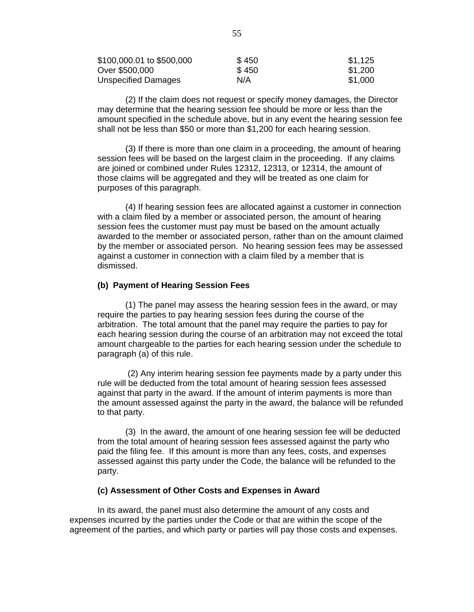| \$100,000.01 to \$500,000 | \$450 | \$1,125 |
|---------------------------|-------|---------|
| Over \$500,000            | \$450 | \$1,200 |
| Unspecified Damages       | N/A   | \$1,000 |

(2) If the claim does not request or specify money damages, the Director may determine that the hearing session fee should be more or less than the amount specified in the schedule above, but in any event the hearing session fee shall not be less than \$50 or more than \$1,200 for each hearing session.

(3) If there is more than one claim in a proceeding, the amount of hearing session fees will be based on the largest claim in the proceeding. If any claims are joined or combined under Rules 12312, 12313, or 12314, the amount of those claims will be aggregated and they will be treated as one claim for purposes of this paragraph.

(4) If hearing session fees are allocated against a customer in connection with a claim filed by a member or associated person, the amount of hearing session fees the customer must pay must be based on the amount actually awarded to the member or associated person, rather than on the amount claimed by the member or associated person. No hearing session fees may be assessed against a customer in connection with a claim filed by a member that is dismissed.

#### **(b) Payment of Hearing Session Fees**

(1) The panel may assess the hearing session fees in the award, or may require the parties to pay hearing session fees during the course of the arbitration. The total amount that the panel may require the parties to pay for each hearing session during the course of an arbitration may not exceed the total amount chargeable to the parties for each hearing session under the schedule to paragraph (a) of this rule.

 (2) Any interim hearing session fee payments made by a party under this rule will be deducted from the total amount of hearing session fees assessed against that party in the award. If the amount of interim payments is more than the amount assessed against the party in the award, the balance will be refunded to that party.

 (3) In the award, the amount of one hearing session fee will be deducted from the total amount of hearing session fees assessed against the party who paid the filing fee. If this amount is more than any fees, costs, and expenses assessed against this party under the Code, the balance will be refunded to the party.

#### **(c) Assessment of Other Costs and Expenses in Award**

In its award, the panel must also determine the amount of any costs and expenses incurred by the parties under the Code or that are within the scope of the agreement of the parties, and which party or parties will pay those costs and expenses.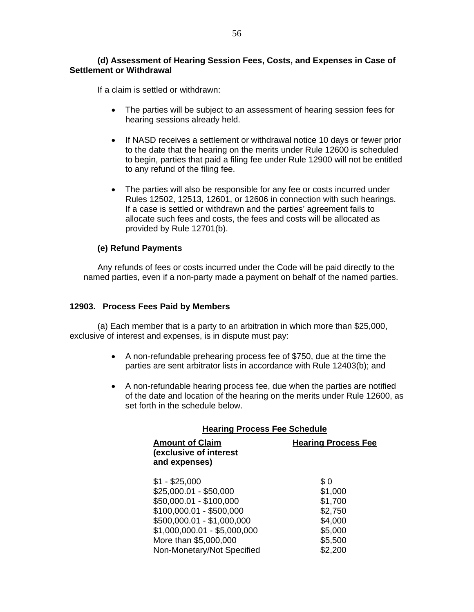If a claim is settled or withdrawn:

- The parties will be subject to an assessment of hearing session fees for hearing sessions already held.
- If NASD receives a settlement or withdrawal notice 10 days or fewer prior to the date that the hearing on the merits under Rule 12600 is scheduled to begin, parties that paid a filing fee under Rule 12900 will not be entitled to any refund of the filing fee.
- The parties will also be responsible for any fee or costs incurred under Rules 12502, 12513, 12601, or 12606 in connection with such hearings. If a case is settled or withdrawn and the parties' agreement fails to allocate such fees and costs, the fees and costs will be allocated as provided by Rule 12701(b).

### **(e) Refund Payments**

Any refunds of fees or costs incurred under the Code will be paid directly to the named parties, even if a non-party made a payment on behalf of the named parties.

### **12903. Process Fees Paid by Members**

(a) Each member that is a party to an arbitration in which more than \$25,000, exclusive of interest and expenses, is in dispute must pay:

- A non-refundable prehearing process fee of \$750, due at the time the parties are sent arbitrator lists in accordance with Rule 12403(b); and
- A non-refundable hearing process fee, due when the parties are notified of the date and location of the hearing on the merits under Rule 12600, as set forth in the schedule below.

| <b>Hearing Process Fee Schedule</b>                                                                                                                                                                                  |                                                                                  |  |
|----------------------------------------------------------------------------------------------------------------------------------------------------------------------------------------------------------------------|----------------------------------------------------------------------------------|--|
| <b>Amount of Claim</b><br>(exclusive of interest<br>and expenses)                                                                                                                                                    | <b>Hearing Process Fee</b>                                                       |  |
| $$1 - $25,000$<br>$$25,000.01 - $50,000$<br>\$50,000.01 - \$100,000<br>\$100,000.01 - \$500,000<br>\$500,000.01 - \$1,000,000<br>$$1,000,000.01 - $5,000,000$<br>More than \$5,000,000<br>Non-Monetary/Not Specified | \$0<br>\$1,000<br>\$1,700<br>\$2,750<br>\$4,000<br>\$5,000<br>\$5,500<br>\$2,200 |  |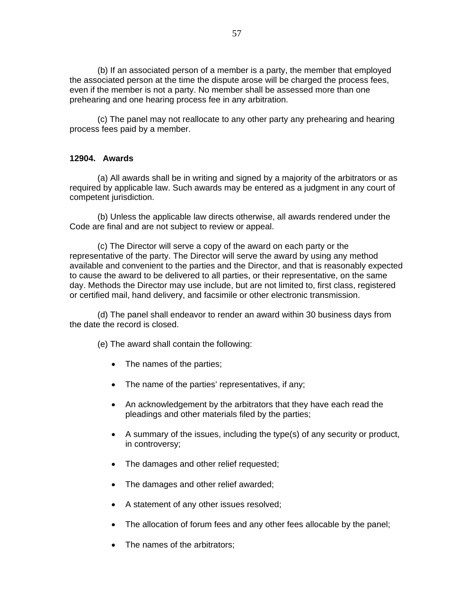(b) If an associated person of a member is a party, the member that employed the associated person at the time the dispute arose will be charged the process fees, even if the member is not a party. No member shall be assessed more than one prehearing and one hearing process fee in any arbitration.

(c) The panel may not reallocate to any other party any prehearing and hearing process fees paid by a member.

### **12904. Awards**

(a) All awards shall be in writing and signed by a majority of the arbitrators or as required by applicable law. Such awards may be entered as a judgment in any court of competent jurisdiction.

(b) Unless the applicable law directs otherwise, all awards rendered under the Code are final and are not subject to review or appeal.

(c) The Director will serve a copy of the award on each party or the representative of the party. The Director will serve the award by using any method available and convenient to the parties and the Director, and that is reasonably expected to cause the award to be delivered to all parties, or their representative, on the same day. Methods the Director may use include, but are not limited to, first class, registered or certified mail, hand delivery, and facsimile or other electronic transmission.

(d) The panel shall endeavor to render an award within 30 business days from the date the record is closed.

(e) The award shall contain the following:

- The names of the parties;
- The name of the parties' representatives, if any;
- An acknowledgement by the arbitrators that they have each read the pleadings and other materials filed by the parties;
- A summary of the issues, including the type(s) of any security or product, in controversy;
- The damages and other relief requested;
- The damages and other relief awarded;
- A statement of any other issues resolved;
- The allocation of forum fees and any other fees allocable by the panel;
- The names of the arbitrators;